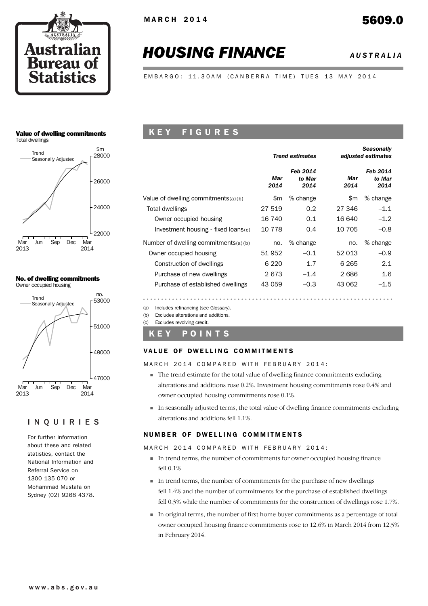

# *HOUSING FINANCE AUSTRALIA*

EMBARGO: 11.30AM (CANBERRA TIME) TUES 13 MAY 2014

### Value of dwelling commitments Total dwellings



### No. of dwelling commitments





### INQUIRIES

For further information about these and related statistics, contact the National Information and Referral Service on 1300 135 070 or Mohammad Mustafa on Sydney (02) 9268 4378.

### K E Y F I G U R E S

|                                        |             | <b>Trend estimates</b>     | <b>Seasonally</b><br>adjusted estimates |                            |  |  |
|----------------------------------------|-------------|----------------------------|-----------------------------------------|----------------------------|--|--|
|                                        | Mar<br>2014 | Feb 2014<br>to Mar<br>2014 | Mar<br>2014                             | Feb 2014<br>to Mar<br>2014 |  |  |
| Value of dwelling commitments $(a)(b)$ | \$m         | % change                   | \$m                                     | % change                   |  |  |
| Total dwellings                        | 27 519      | 0.2                        | 27 346                                  | $-1.1$                     |  |  |
| Owner occupied housing                 | 16 740      | 0.1                        | 16 640                                  | $-1.2$                     |  |  |
| Investment housing - fixed loans(c)    | 10 778      | 0.4                        | 10 705                                  | $-0.8$                     |  |  |
| Number of dwelling commitments(a)(b)   | no.         | % change                   | no.                                     | % change                   |  |  |
| Owner occupied housing                 | 51 952      | $-0.1$                     | 52 013                                  | $-0.9$                     |  |  |
| Construction of dwellings              | 6 2 2 0     | 1.7                        | 6 2 6 5                                 | 2.1                        |  |  |
| Purchase of new dwellings              | 2673        | $-1.4$                     | 2686                                    | 1.6                        |  |  |
| Purchase of established dwellings      | 43 059      | $-0.3$                     | 43 062                                  | $-1.5$                     |  |  |

(a) Includes refinancing (see Glossary).

(b) Excludes alterations and additions.

(c) Excludes revolving credit.

### K E Y P O I N T S

### VALUE OF DWELLING COMMITMENTS

MARCH 2014 COMPARED WITH FEBRUARY 2014:

- ! The trend estimate for the total value of dwelling finance commitments excluding alterations and additions rose 0.2%. Investment housing commitments rose 0.4% and owner occupied housing commitments rose 0.1%.
- ! In seasonally adjusted terms, the total value of dwelling finance commitments excluding alterations and additions fell 1.1%.

### NUMBER OF DWELLING COMMITMENTS

MARCH 2014 COMPARED WITH FEBRUARY 2014:

- ! In trend terms, the number of commitments for owner occupied housing finance fell 0.1%.
- ! In trend terms, the number of commitments for the purchase of new dwellings fell 1.4% and the number of commitments for the purchase of established dwellings fell 0.3% while the number of commitments for the construction of dwellings rose 1.7%.
- ! In original terms, the number of first home buyer commitments as a percentage of total owner occupied housing finance commitments rose to 12.6% in March 2014 from 12.5% in February 2014.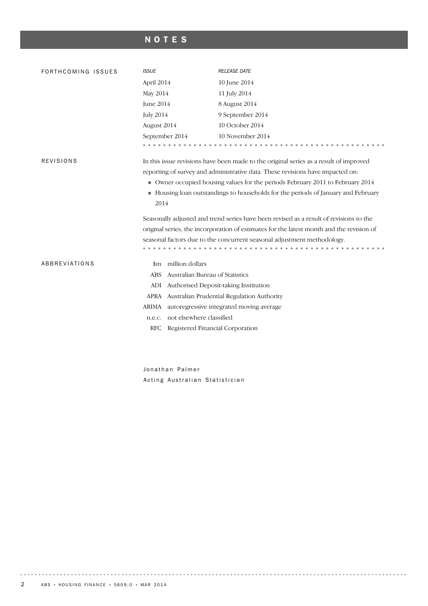# NOTES

| FORTHCOMING ISSUES   | <b>ISSUE</b>                                                                                                                                                                                                                                                                                                                                           | <b>RELEASE DATE</b>                                                                      |  |  |  |  |  |  |
|----------------------|--------------------------------------------------------------------------------------------------------------------------------------------------------------------------------------------------------------------------------------------------------------------------------------------------------------------------------------------------------|------------------------------------------------------------------------------------------|--|--|--|--|--|--|
|                      | April 2014                                                                                                                                                                                                                                                                                                                                             | 10 June 2014                                                                             |  |  |  |  |  |  |
|                      | May 2014                                                                                                                                                                                                                                                                                                                                               | 11 July 2014                                                                             |  |  |  |  |  |  |
|                      | June 2014                                                                                                                                                                                                                                                                                                                                              | 8 August 2014                                                                            |  |  |  |  |  |  |
|                      | <b>July 2014</b>                                                                                                                                                                                                                                                                                                                                       | 9 September 2014                                                                         |  |  |  |  |  |  |
|                      | August 2014                                                                                                                                                                                                                                                                                                                                            | 10 October 2014                                                                          |  |  |  |  |  |  |
|                      | September 2014                                                                                                                                                                                                                                                                                                                                         | 10 November 2014                                                                         |  |  |  |  |  |  |
|                      |                                                                                                                                                                                                                                                                                                                                                        |                                                                                          |  |  |  |  |  |  |
| <b>REVISIONS</b>     | In this issue revisions have been made to the original series as a result of improved<br>reporting of survey and administrative data. These revisions have impacted on:<br>• Owner occupied housing values for the periods February 2011 to February 2014<br>• Housing loan outstandings to households for the periods of January and February<br>2014 |                                                                                          |  |  |  |  |  |  |
|                      |                                                                                                                                                                                                                                                                                                                                                        | Seasonally adjusted and trend series have been revised as a result of revisions to the   |  |  |  |  |  |  |
|                      |                                                                                                                                                                                                                                                                                                                                                        | original series, the incorporation of estimates for the latest month and the revision of |  |  |  |  |  |  |
|                      |                                                                                                                                                                                                                                                                                                                                                        | seasonal factors due to the concurrent seasonal adjustment methodology.                  |  |  |  |  |  |  |
| <b>ABBREVIATIONS</b> | \$m million dollars                                                                                                                                                                                                                                                                                                                                    |                                                                                          |  |  |  |  |  |  |
|                      | Australian Bureau of Statistics<br><b>ABS</b>                                                                                                                                                                                                                                                                                                          |                                                                                          |  |  |  |  |  |  |
|                      | ADI                                                                                                                                                                                                                                                                                                                                                    | Authorised Deposit-taking Institution                                                    |  |  |  |  |  |  |
|                      |                                                                                                                                                                                                                                                                                                                                                        | APRA Australian Prudential Regulation Authority                                          |  |  |  |  |  |  |
|                      | <b>ARIMA</b>                                                                                                                                                                                                                                                                                                                                           | autoregressive integrated moving average                                                 |  |  |  |  |  |  |
|                      | not elsewhere classified<br>n.e.c.                                                                                                                                                                                                                                                                                                                     |                                                                                          |  |  |  |  |  |  |
|                      | <b>RFC</b><br>Registered Financial Corporation                                                                                                                                                                                                                                                                                                         |                                                                                          |  |  |  |  |  |  |
|                      |                                                                                                                                                                                                                                                                                                                                                        |                                                                                          |  |  |  |  |  |  |

Jonathan Palmer Acting Australian Statistician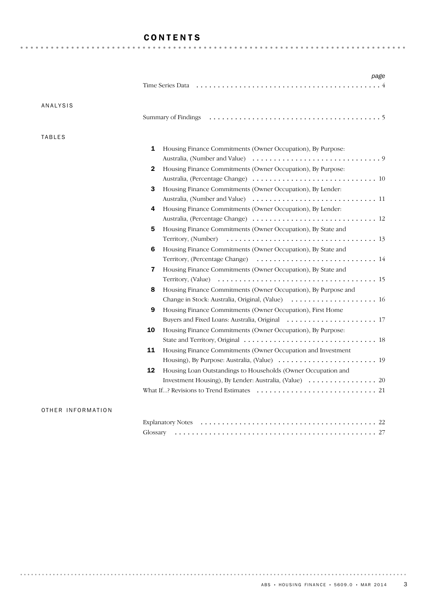### CONTENTS

|               | Time Series Data <i>interpretational content of the Series Data interpretation i.e.</i>                   |
|---------------|-----------------------------------------------------------------------------------------------------------|
| ANALYSIS      |                                                                                                           |
|               |                                                                                                           |
| <b>TABLES</b> |                                                                                                           |
|               | 1<br>Housing Finance Commitments (Owner Occupation), By Purpose:                                          |
|               |                                                                                                           |
|               | Housing Finance Commitments (Owner Occupation), By Purpose:<br>2                                          |
|               |                                                                                                           |
|               | 3<br>Housing Finance Commitments (Owner Occupation), By Lender:                                           |
|               |                                                                                                           |
|               | Housing Finance Commitments (Owner Occupation), By Lender:<br>4                                           |
|               |                                                                                                           |
|               | Housing Finance Commitments (Owner Occupation), By State and<br>5                                         |
|               |                                                                                                           |
|               | Housing Finance Commitments (Owner Occupation), By State and<br>6                                         |
|               |                                                                                                           |
|               | Housing Finance Commitments (Owner Occupation), By State and<br>$\overline{\mathbf{z}}$                   |
|               |                                                                                                           |
|               | Housing Finance Commitments (Owner Occupation), By Purpose and<br>8                                       |
|               |                                                                                                           |
|               | 9<br>Housing Finance Commitments (Owner Occupation), First Home                                           |
|               |                                                                                                           |
|               | 10<br>Housing Finance Commitments (Owner Occupation), By Purpose:                                         |
|               |                                                                                                           |
|               | 11<br>Housing Finance Commitments (Owner Occupation and Investment                                        |
|               |                                                                                                           |
|               | 12<br>Housing Loan Outstandings to Households (Owner Occupation and                                       |
|               |                                                                                                           |
|               | What If? Revisions to Trend Estimates $\dots \dots \dots \dots \dots \dots \dots \dots \dots \dots \dots$ |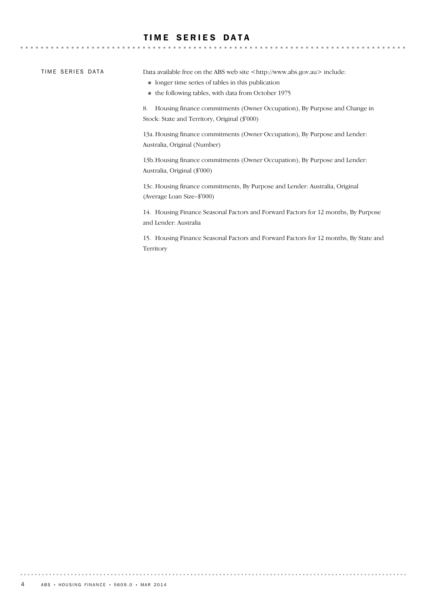### TIME SERIES DATA

TIME SERIES DATA

 $-0.000$ 

Data available free on the ABS web site <http://www.abs.gov.au> include:

- ! longer time series of tables in this publication
- ! the following tables, with data from October 1975

8. Housing finance commitments (Owner Occupation), By Purpose and Change in Stock: State and Territory, Original (\$'000)

13a. Housing finance commitments (Owner Occupation), By Purpose and Lender: Australia, Original (Number)

13b.Housing finance commitments (Owner Occupation), By Purpose and Lender: Australia, Original (\$'000)

13c. Housing finance commitments, By Purpose and Lender: Australia, Original (Average Loan Size–\$'000)

14. Housing Finance Seasonal Factors and Forward Factors for 12 months, By Purpose and Lender: Australia

15. Housing Finance Seasonal Factors and Forward Factors for 12 months, By State and Territory

. . . . . . . . .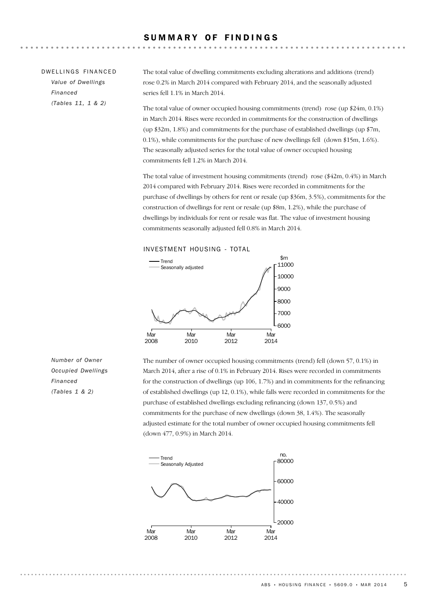| DWELLINGS FINANCED | The total value of dwelling commitments excluding alterations and additions (trend)                                                                                          |
|--------------------|------------------------------------------------------------------------------------------------------------------------------------------------------------------------------|
| Value of Dwellings | rose 0.2% in March 2014 compared with February 2014, and the seasonally adjusted                                                                                             |
| Financed           | series fell 1.1% in March 2014.                                                                                                                                              |
| (Tables 11, 1 & 2) | The total value of owner occupied housing commitments (trend) rose (up $24m, 0.1\%$ )<br>in March 2014. Rises were recorded in commitments for the construction of dwellings |

in March 2014. Rises were recorded in commitments for the construction of dwellings (up \$32m, 1.8%) and commitments for the purchase of established dwellings (up \$7m, 0.1%), while commitments for the purchase of new dwellings fell (down \$15m, 1.6%). The seasonally adjusted series for the total value of owner occupied housing commitments fell 1.2% in March 2014.

The total value of investment housing commitments (trend) rose (\$42m, 0.4%) in March 2014 compared with February 2014. Rises were recorded in commitments for the purchase of dwellings by others for rent or resale (up \$36m, 3.5%), commitments for the construction of dwellings for rent or resale (up \$8m, 1.2%), while the purchase of dwellings by individuals for rent or resale was flat. The value of investment housing commitments seasonally adjusted fell 0.8% in March 2014.

INVESTMENT HOUSING - TOTAL



The number of owner occupied housing commitments (trend) fell (down 57, 0.1%) in March 2014, after a rise of 0.1% in February 2014. Rises were recorded in commitments for the construction of dwellings (up 106, 1.7%) and in commitments for the refinancing of established dwellings (up 12, 0.1%), while falls were recorded in commitments for the purchase of established dwellings excluding refinancing (down 137, 0.5%) and commitments for the purchase of new dwellings (down 38, 1.4%). The seasonally adjusted estimate for the total number of owner occupied housing commitments fell (down 477, 0.9%) in March 2014.



*Number of Owner Occupied Dwellings Financed (Tables 1 & 2)*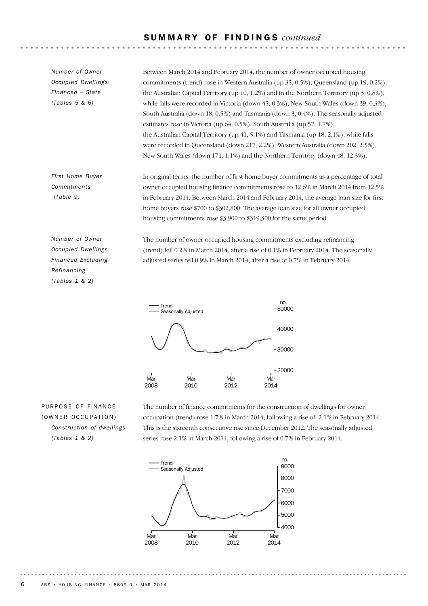### S U M M A R Y O F F I N D I N G S *continued*

In original terms, the number of first home buyer commitments as a percentage of total owner occupied housing finance commitments rose to 12.6% in March 2014 from 12.5% in February 2014. Between March 2014 and February 2014, the average loan size for first *First Home Buyer Commitments (Table 9)* Between March 2014 and February 2014, the number of owner occupied housing commitments (trend) rose in Western Australia (up 35, 0.5%), Queensland (up 19, 0.2%), the Australian Capital Territory (up 10, 1.2%) and in the Northern Territory (up 3, 0.8%), while falls were recorded in Victoria (down 45, 0.3%), New South Wales (down 39, 0.3%), South Australia (down 18, 0.5%) and Tasmania (down 3, 0.4%). The seasonally adjusted estimates rose in Victoria (up 64, 0.5%), South Australia (up 57, 1.7%), the Australian Capital Territory (up 41, 5.1%) and Tasmania (up 18, 2.1%), while falls were recorded in Queensland (down 217, 2.2%), Western Australia (down 202, 2.5%), New South Wales (down 171, 1.1%) and the Northern Territory (down 48, 12.5%). *Number of Owner Occupied Dwellings Financed – State (Tables 5 & 6)*

home buyers rose \$700 to \$302,800. The average loan size for all owner occupied housing commitments rose \$3,900 to \$319,300 for the same period.

*Number of Owner Occupied Dwellings Financed Excluding Refinancing (Tables 1 & 2)*

The number of owner occupied housing commitments excluding refinancing (trend) fell 0.2% in March 2014, after a rise of 0.1% in February 2014. The seasonally adjusted series fell 0.9% in March 2014, after a rise of 0.7% in February 2014.



PURPOSE OF FINANCE (OWNER OCCUPATION) *Construction of dwellings (Tables 1 & 2)*

The number of finance commitments for the construction of dwellings for owner occupation (trend) rose 1.7% in March 2014, following a rise of 2.1% in February 2014. This is the sixteenth consecutive rise since December 2012. The seasonally adjusted series rose 2.1% in March 2014, following a rise of 0.7% in February 2014.

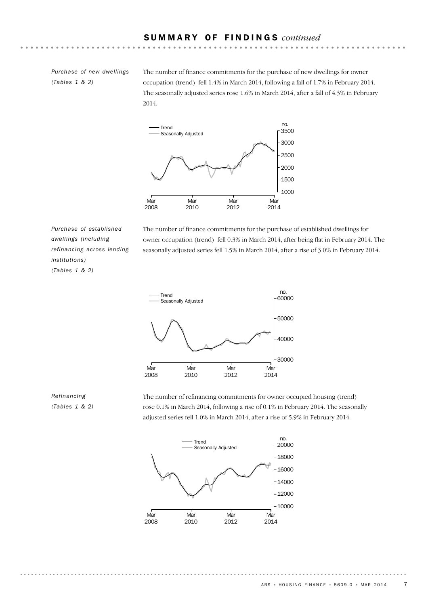*Purchase of new dwellings (Tables 1 & 2)*

The number of finance commitments for the purchase of new dwellings for owner occupation (trend) fell 1.4% in March 2014, following a fall of 1.7% in February 2014. The seasonally adjusted series rose 1.6% in March 2014, after a fall of 4.3% in February 2014.



*Purchase of established dwellings (including refinancing across lending institutions) (Tables 1 & 2)*

The number of finance commitments for the purchase of established dwellings for owner occupation (trend) fell 0.3% in March 2014, after being flat in February 2014. The seasonally adjusted series fell 1.5% in March 2014, after a rise of 3.0% in February 2014.



### *Refinancing (Tables 1 & 2)*

The number of refinancing commitments for owner occupied housing (trend) rose 0.1% in March 2014, following a rise of 0.1% in February 2014. The seasonally adjusted series fell 1.0% in March 2014, after a rise of 5.9% in February 2014.



 $ABS \cdot HOUSING FINANCE \cdot 5609.0 \cdot MAR 2014$  7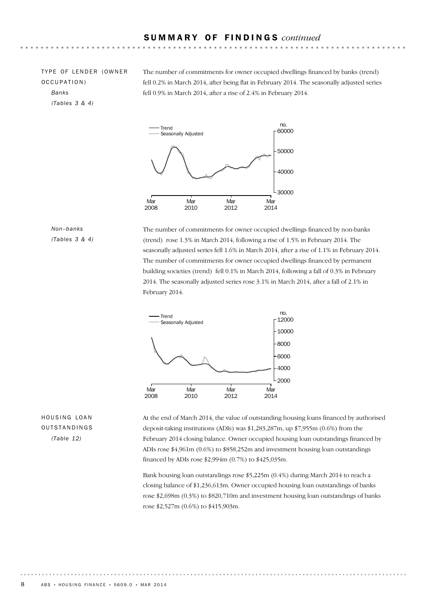TYPE OF LENDER (OWNER OCCUPATION) *Banks (Tables 3 & 4)*

The number of commitments for owner occupied dwellings financed by banks (trend) fell 0.2% in March 2014, after being flat in February 2014. The seasonally adjusted series fell 0.9% in March 2014, after a rise of 2.4% in February 2014.



### *Non–banks (Tables 3 & 4)*

The number of commitments for owner occupied dwellings financed by non-banks (trend) rose 1.3% in March 2014, following a rise of 1.5% in February 2014. The seasonally adjusted series fell 1.6% in March 2014, after a rise of 1.1% in February 2014. The number of commitments for owner occupied dwellings financed by permanent building societies (trend) fell 0.1% in March 2014, following a fall of 0.3% in February 2014. The seasonally adjusted series rose 3.1% in March 2014, after a fall of 2.1% in February 2014.



### HOUSING LOAN OUTSTANDINGS *(Table 12)*

At the end of March 2014, the value of outstanding housing loans financed by authorised deposit-taking institutions (ADIs) was \$1,283,287m, up \$7,955m (0.6%) from the February 2014 closing balance. Owner occupied housing loan outstandings financed by ADIs rose \$4,961m (0.6%) to \$858,252m and investment housing loan outstandings financed by ADIs rose \$2,994m (0.7%) to \$425,035m.

Bank housing loan outstandings rose \$5,225m (0.4%) during March 2014 to reach a closing balance of \$1,236,613m. Owner occupied housing loan outstandings of banks rose \$2,698m (0.3%) to \$820,710m and investment housing loan outstandings of banks rose \$2,527m (0.6%) to \$415,903m.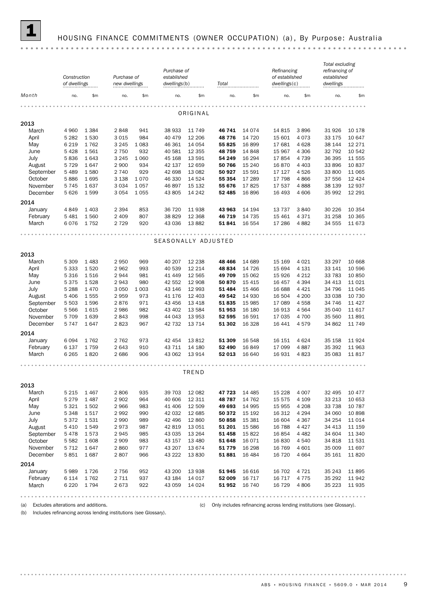

## 1 HOUSING FINANCE COMMITMENTS (OWNER OCCUPATION) (a) , By Purpose: Australia

|                      | Construction<br>of dwellings |              | Purchase of<br>new dwellings |                    | Purchase of<br>established<br>dwellings(b) |                    | Total            |                     | Refinancing<br>of established<br>dwellings(c) |                    | Total excluding<br>refinancing of<br>established<br>dwellings |                    |  |
|----------------------|------------------------------|--------------|------------------------------|--------------------|--------------------------------------------|--------------------|------------------|---------------------|-----------------------------------------------|--------------------|---------------------------------------------------------------|--------------------|--|
| Month                | no.                          | \$m          | no.                          | \$m\$              | no.                                        | \$m                | no.              | \$m                 | no.                                           | \$m                | no.                                                           | \$m\$              |  |
|                      |                              |              |                              |                    |                                            |                    |                  |                     |                                               |                    |                                                               |                    |  |
| ORIGINAL             |                              |              |                              |                    |                                            |                    |                  |                     |                                               |                    |                                                               |                    |  |
| 2013                 |                              |              |                              |                    |                                            |                    |                  |                     |                                               |                    |                                                               |                    |  |
| March                | 4 9 6 0                      | 1 3 8 4      | 2848                         | 941                | 38 933                                     | 11 749             | 46 741           | 14 0 74             | 14 8 15                                       | 3896               | 31926                                                         | 10 178             |  |
| April                | 5 2 8 2                      | 1530         | 3 0 1 5                      | 984                | 40 479                                     | 12 20 6            | 48776            | 14 7 20             | 15 601                                        | 4073               | 33 175                                                        | 10 647             |  |
| May                  | 6 2 1 9                      | 1762         | 3 2 4 5                      | 1 0 8 3            | 46 361                                     | 14 054             | 55 825           | 16899               | 17 681                                        | 4628               | 38 144                                                        | 12 27 1            |  |
| June                 | 5428                         | 1561         | 2 7 5 0                      | 932                | 40 581                                     | 12 3 5 5           | 48 759           | 14 8 48             | 15 967                                        | 4 3 0 6            | 32 792                                                        | 10 542             |  |
| July                 | 5836                         | 1643         | 3 2 4 5                      | 1 0 6 0            | 45 168                                     | 13 591             | 54 249           | 16 294              | 17854                                         | 4 7 3 9            | 36 395                                                        | 11 555             |  |
| August               | 5 7 2 9                      | 1647         | 2 9 0 0                      | 934                | 42 137                                     | 12 659             | 50 766           | 15 240              | 16870                                         | 4 4 0 3            | 33 896                                                        | 10837              |  |
| September            | 5 4 8 9                      | 1580         | 2 7 4 0                      | 929<br>1070        | 42 698                                     | 13 082             | 50 927           | 15 5 91             | 17 127                                        | 4526               | 33 800                                                        | 11 065             |  |
| October<br>November  | 5886                         | 1695<br>1637 | 3 1 3 8<br>3 0 3 4           |                    | 46 330                                     | 14 5 24<br>15 132  | 55 354           | 17 289<br>17825     | 17 798                                        | 4866               | 37 556                                                        | 12 4 24<br>12 9 37 |  |
| December             | 5745<br>5626                 | 1599         | 3 0 5 4                      | 1 0 5 7<br>1 0 5 5 | 46897<br>43 805                            | 14 24 2            | 55 676<br>52 485 | 16896               | 17 537<br>16 493                              | 4888<br>4606       | 38 139<br>35 992                                              | 12 29 1            |  |
|                      |                              |              |                              |                    |                                            |                    |                  |                     |                                               |                    |                                                               |                    |  |
| 2014                 |                              |              |                              |                    |                                            |                    |                  |                     |                                               |                    |                                                               |                    |  |
| January              | 4849                         | 1 4 0 3      | 2 3 9 4                      | 853                | 36 720                                     | 11 938             | 43 963           | 14 194              | 13 7 3 7                                      | 3840               | 30 2 26                                                       | 10 354             |  |
| February             | 5 4 8 1                      | 1560         | 2 4 0 9                      | 807                | 38 829                                     | 12 3 68            | 46 719           | 14 7 35             | 15 4 61                                       | 4371               | 31 258                                                        | 10 365             |  |
| March                | 6076                         | 1752         | 2 7 2 9                      | 920                | 43 036                                     | 13 8 82            | 51841            | 16 554              | 17 286                                        | 4882               | 34 555                                                        | 11 673             |  |
|                      |                              |              |                              |                    |                                            |                    |                  |                     |                                               |                    |                                                               |                    |  |
|                      |                              |              |                              |                    | SEASONALLY ADJUSTED                        |                    |                  |                     |                                               |                    |                                                               |                    |  |
|                      |                              |              |                              |                    |                                            |                    |                  |                     |                                               |                    |                                                               |                    |  |
| 2013                 |                              |              |                              |                    |                                            |                    |                  |                     |                                               |                    |                                                               |                    |  |
| March                | 5 3 0 9                      | 1 4 8 3      | 2 9 5 0                      | 969                | 40 207                                     | 12 2 38            | 48 4 66          | 14 689              | 15 169                                        | 4 0 2 1            | 33 297                                                        | 10 668             |  |
| April                | 5 3 3 3                      | 1520         | 2 9 6 2                      | 993                | 40 539                                     | 12 2 14            | 48 834           | 14 7 26             | 15 694                                        | 4 1 3 1            | 33 141                                                        | 10 596             |  |
| May                  | 5 3 1 6                      | 1516         | 2944                         | 981                | 41 449                                     | 12 5 65            | 49 709           | 15 062              | 15 9 26                                       | 4 2 1 2            | 33 783                                                        | 10 850             |  |
| June                 | 5375                         | 1528         | 2943                         | 980                | 42 552                                     | 12 908             | 50 870           | 15 4 15             | 16 457                                        | 4 3 9 4            | 34 413                                                        | 11 0 21            |  |
| July                 | 5 2 8 8                      | 1470         | 3 0 5 0                      | 1 0 0 3            | 43 146                                     | 12 993             | 51 484           | 15 4 66             | 16 688                                        | 4 4 2 1            | 34 796                                                        | 11 0 45            |  |
| August               | 5 4 0 6                      | 1555         | 2959                         | 973                | 41 176                                     | 12 4 03            | 49 542           | 14 930              | 16 504                                        | 4 200              | 33 038                                                        | 10 730             |  |
| September<br>October | 5 5 0 3                      | 1596<br>1615 | 2876<br>2 9 8 6              | 971<br>982         | 43 45 6<br>43 402                          | 13 4 18<br>13 5 84 | 51835<br>51 953  | 15 985<br>16 180    | 17 089<br>16913                               | 4558               | 34 746<br>35 040                                              | 11 4 27<br>11 617  |  |
| November             | 5566<br>5709                 | 1639         | 2843                         | 998                | 44 043                                     | 13 953             | 52 595           | 16 591              | 17 035                                        | 4564<br>4700       | 35 560                                                        | 11891              |  |
| December             | 5747                         | 1647         | 2823                         | 967                | 42 732                                     | 13 7 14            | 51 302           | 16 3 28             | 16 441                                        | 4579               | 34 862                                                        | 11 749             |  |
|                      |                              |              |                              |                    |                                            |                    |                  |                     |                                               |                    |                                                               |                    |  |
| 2014                 |                              |              |                              |                    |                                            |                    |                  |                     |                                               |                    |                                                               |                    |  |
| January              | 6 0 9 4                      | 1762         | 2 7 6 2                      | 973                | 42 454                                     | 13812              | 51 309           | 16 548              | 16 151                                        | 4624               | 35 158                                                        | 11924              |  |
| February             | 6 137                        | 1759         | 2 6 4 3                      | 910                | 43 711                                     | 14 180             | 52 490           | 16849               | 17 099                                        | 4887               | 35 392                                                        | 11 963             |  |
| March                | 6 2 6 5                      | 1820         | 2686                         | 906                | 43 062                                     | 13 914             | 52 013           | 16 640              | 16 931                                        | 4823               | 35 083                                                        | 11817              |  |
|                      |                              |              |                              |                    |                                            |                    |                  |                     |                                               |                    |                                                               |                    |  |
|                      |                              |              |                              |                    |                                            | TREND              |                  |                     |                                               |                    |                                                               |                    |  |
|                      |                              |              |                              |                    |                                            |                    |                  |                     |                                               |                    |                                                               |                    |  |
| 2013                 |                              |              |                              |                    |                                            |                    |                  |                     |                                               |                    |                                                               |                    |  |
| March                | 5 2 1 5                      | 1 4 6 7      | 2806                         | 935                | 39 703                                     | 12 082             | 47 723           | 14 4 85             | 15 2 28                                       | 4 0 0 7            | 32 495                                                        | 10 477             |  |
| April                | 5 2 7 9                      | 1487         | 2 9 0 2                      | 964                | 40 606                                     | 12 311             | 48787            | 14 762              | 15 575                                        | 4 1 0 9            | 33 213                                                        | 10 653             |  |
| May                  | 5 3 2 1                      | 1502         | 2 9 6 6                      | 983                | 41 40 6                                    | 12 509             | 49 693           | 14 9 95             | 15 955                                        | 4 2 0 8            | 33 738                                                        | 10 787             |  |
| June                 | 5 3 4 8                      | 1517         | 2992                         | 990                | 42 032                                     | 12 685             | 50 372           | 15 192              | 16 312                                        | 4 2 9 4            | 34 060                                                        | 10898              |  |
| July<br>August       | 5372<br>5 4 1 0              | 1531<br>1549 | 2 9 9 0<br>2973              | 989<br>987         | 42 496<br>42 819                           | 12 860<br>13 0 51  | 50 858<br>51 201 | 15 3 8 1<br>15 5 86 | 16 604<br>16 788                              | 4 3 6 7<br>4 4 2 7 | 34 254<br>34 413                                              | 11 014             |  |
| September            | 5478                         | 1573         | 2945                         | 985                | 43 0 35                                    | 13 2 64            | 51 458           | 15822               | 16854                                         | 4 4 8 2            | 34 604                                                        | 11 159<br>11 340   |  |
| October              | 5 5 8 2                      | 1608         | 2 9 0 9                      | 983                | 43 157                                     | 13 4 80            | 51 648           | 16 0 7 1            | 16830                                         | 4 5 4 0            | 34 818                                                        | 11 531             |  |
| November             | 5 7 1 2                      | 1647         | 2860                         | 977                | 43 207                                     | 13 674             | 51 779           | 16 298              | 16 769                                        | 4 601              | 35 009                                                        | 11 697             |  |
| December             | 5851                         | 1687         | 2807                         | 966                | 43 222                                     | 13830              | 51881            | 16 4 84             | 16 720                                        | 4 6 6 4            | 35 161                                                        | 11820              |  |
|                      |                              |              |                              |                    |                                            |                    |                  |                     |                                               |                    |                                                               |                    |  |
| 2014                 |                              |              |                              |                    |                                            |                    |                  |                     |                                               |                    |                                                               |                    |  |
| January              | 5989                         | 1726         | 2 7 5 6                      | 952                | 43 200                                     | 13 938             | 51 945           | 16 616              | 16 702                                        | 4 7 2 1            | 35 243                                                        | 11895              |  |
| February<br>March    | 6 1 1 4<br>6 2 2 0           | 1762<br>1794 | 2 7 1 1<br>2673              | 937<br>922         | 43 184<br>43 059                           | 14 017<br>14 0 24  | 52 009<br>51 952 | 16 7 17<br>16 740   | 16 717<br>16 729                              | 4775<br>4806       | 35 292<br>35 223                                              | 11942<br>11 935    |  |
|                      |                              |              |                              |                    |                                            |                    |                  |                     |                                               |                    |                                                               |                    |  |
|                      |                              |              |                              |                    |                                            |                    |                  |                     |                                               |                    |                                                               |                    |  |

(b) Includes refinancing across lending institutions (see Glossary).

(a) Excludes alterations and additions. (c) Only includes refinancing across lending institutions (see Glossary).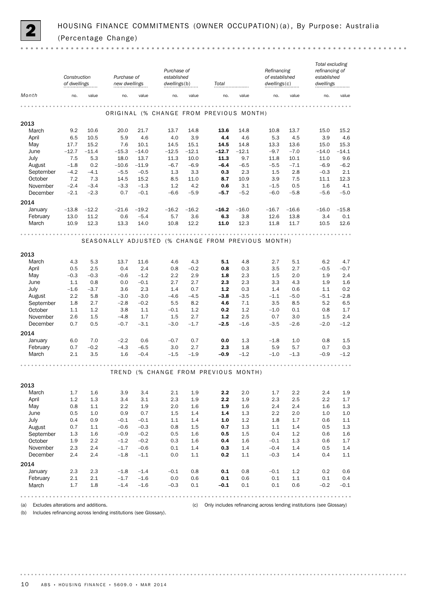

|               | Construction<br>of dwellings |              | Purchase of<br>new dwellings                            |               | Purchase of<br>established<br>dwellings(b) |                                                                       | Total                                   |             | Refinancing<br>of established<br>dwellings(c)                         |             | Total excluding<br>refinancing of<br>established<br>dwellings |                    |
|---------------|------------------------------|--------------|---------------------------------------------------------|---------------|--------------------------------------------|-----------------------------------------------------------------------|-----------------------------------------|-------------|-----------------------------------------------------------------------|-------------|---------------------------------------------------------------|--------------------|
| Month         | no.                          | value        | no.                                                     | value         | no.                                        | value                                                                 | no.                                     | value       | no.                                                                   | value       | no.                                                           | value              |
|               |                              |              |                                                         |               |                                            |                                                                       | ORIGINAL (% CHANGE FROM PREVIOUS MONTH) |             |                                                                       | .           |                                                               |                    |
| 2013          |                              |              |                                                         |               |                                            |                                                                       |                                         |             |                                                                       |             |                                                               |                    |
| March         | 9.2                          | 10.6         | 20.0                                                    | 21.7          | 13.7                                       | 14.8                                                                  | 13.6<br>4.4                             | 14.8        | 10.8<br>5.3                                                           | 13.7        | 15.0                                                          | 15.2               |
| April<br>May  | 6.5<br>17.7                  | 10.5<br>15.2 | 5.9<br>7.6                                              | 4.6<br>10.1   | 4.0<br>14.5                                | 3.9<br>15.1                                                           | 14.5                                    | 4.6<br>14.8 | 13.3                                                                  | 4.5<br>13.6 | 3.9<br>15.0                                                   | 4.6<br>15.3        |
| June          | $-12.7$                      | $-11.4$      | $-15.3$                                                 | $-14.0$       | $-12.5$                                    | $-12.1$                                                               | $-12.7$                                 | $-12.1$     | $-9.7$                                                                | $-7.0$      | $-14.0$                                                       | $-14.1$            |
| July          | 7.5                          | 5.3          | 18.0                                                    | 13.7          | 11.3                                       | 10.0                                                                  | 11.3                                    | 9.7         | 11.8                                                                  | 10.1        | 11.0                                                          | 9.6                |
| August        | $-1.8$                       | 0.2          | $-10.6$                                                 | $-11.9$       | $-6.7$                                     | $-6.9$                                                                | $-6.4$                                  | $-6.5$      | $-5.5$                                                                | $-7.1$      | $-6.9$                                                        | $-6.2$             |
| September     | $-4.2$                       | $-4.1$       | $-5.5$                                                  | $-0.5$        | 1.3                                        | 3.3                                                                   | 0.3                                     | 2.3         | 1.5                                                                   | 2.8         | $-0.3$                                                        | 2.1                |
| October       | 7.2                          | 7.3          | 14.5                                                    | 15.2          | 8.5                                        | 11.0                                                                  | 8.7                                     | 10.9        | 3.9                                                                   | 7.5         | 11.1                                                          | 12.3               |
| November      | $-2.4$                       | $-3.4$       | $-3.3$                                                  | $-1.3$        | 1.2                                        | 4.2                                                                   | 0.6                                     | 3.1         | $-1.5$                                                                | 0.5         | 1.6                                                           | 4.1                |
| December      | $-2.1$                       | $-2.3$       | 0.7                                                     | $-0.1$        | $-6.6$                                     | $-5.9$                                                                | $-5.7$                                  | $-5.2$      | $-6.0$                                                                | $-5.8$      | $-5.6$                                                        | $-5.0$             |
| 2014          |                              |              |                                                         |               |                                            |                                                                       |                                         |             |                                                                       |             |                                                               |                    |
| January       | $-13.8$                      | $-12.2$      | $-21.6$                                                 | $-19.2$       | $-16.2$                                    | $-16.2$                                                               | $-16.2$                                 | $-16.0$     | $-16.7$                                                               | $-16.6$     | $-16.0$                                                       | $-15.8$            |
| February      | 13.0                         | 11.2         | 0.6                                                     | $-5.4$        | 5.7                                        | 3.6                                                                   | 6.3                                     | 3.8         | 12.6                                                                  | 13.8        | 3.4                                                           | 0.1                |
| March         | 10.9                         | 12.3         | 13.3                                                    | 14.0          | 10.8                                       | 12.2                                                                  | 11.0                                    | 12.3        | 11.8                                                                  | 11.7        | 10.5                                                          | 12.6               |
|               | $- - - - - -$                |              | .<br>SEASONALLY ADJUSTED (% CHANGE FROM PREVIOUS MONTH) |               |                                            |                                                                       |                                         |             |                                                                       | .           |                                                               |                    |
| 2013<br>March | 4.3                          | 5.3          | 13.7                                                    | 11.6          | 4.6                                        | 4.3                                                                   | 5.1                                     | 4.8         | 2.7                                                                   | 5.1         | 6.2                                                           | 4.7                |
| April         | 0.5                          | 2.5          | 0.4                                                     | 2.4           | 0.8                                        | $-0.2$                                                                | 0.8                                     | 0.3         | 3.5                                                                   | 2.7         | $-0.5$                                                        | $-0.7$             |
| May           | $-0.3$                       | $-0.3$       | $-0.6$                                                  | $-1.2$        | 2.2                                        | 2.9                                                                   | 1.8                                     | 2.3         | 1.5                                                                   | 2.0         | 1.9                                                           | 2.4                |
| June          | 1.1                          | 0.8          | 0.0                                                     | $-0.1$        | 2.7                                        | 2.7                                                                   | 2.3                                     | 2.3         | 3.3                                                                   | 4.3         | 1.9                                                           | 1.6                |
| July          | $-1.6$                       | $-3.7$       | 3.6                                                     | 2.3           | 1.4                                        | 0.7                                                                   | $1.2$                                   | 0.3         | 1.4                                                                   | 0.6         | 1.1                                                           | 0.2                |
| August        | 2.2                          | 5.8          | $-3.0$                                                  | $-3.0$        | $-4.6$                                     | $-4.5$                                                                | $-3.8$                                  | $-3.5$      | $-1.1$                                                                | $-5.0$      | $-5.1$                                                        | $-2.8$             |
| September     | 1.8                          | 2.7          | $-2.8$                                                  | $-0.2$        | 5.5                                        | 8.2                                                                   | 4.6                                     | 7.1         | 3.5                                                                   | 8.5         | 5.2                                                           | 6.5                |
| October       | 1.1                          | 1.2          | 3.8                                                     | 1.1           | $-0.1$                                     | 1.2                                                                   | 0.2                                     | 1.2         | $-1.0$                                                                | 0.1         | 0.8                                                           | 1.7                |
| November      | 2.6                          | 1.5          | $-4.8$                                                  | 1.7           | 1.5                                        | 2.7                                                                   | $1.2$                                   | 2.5         | 0.7                                                                   | 3.0         | 1.5                                                           | 2.4                |
| December      | 0.7                          | 0.5          | $-0.7$                                                  | $-3.1$        | $-3.0$                                     | $-1.7$                                                                | -2.5                                    | $-1.6$      | $-3.5$                                                                | $-2.6$      | $-2.0$                                                        | $-1.2$             |
| 2014          |                              |              |                                                         |               |                                            |                                                                       |                                         |             |                                                                       |             |                                                               |                    |
| January       | 6.0                          | 7.0          | $-2.2$                                                  | 0.6           | $-0.7$                                     | 0.7                                                                   | 0.0                                     | 1.3         | $-1.8$                                                                | 1.0         | 0.8                                                           | 1.5                |
| February      | 0.7                          | $-0.2$       | $-4.3$                                                  | $-6.5$        | 3.0                                        | 2.7                                                                   | 2.3                                     | 1.8         | 5.9                                                                   | 5.7         | 0.7                                                           | 0.3                |
| March         | 2.1                          | 3.5          | 1.6                                                     | $-0.4$        | $-1.5$                                     | $-1.9$                                                                | $-0.9$                                  | $-1.2$      | $-1.0$                                                                | $-1.3$      | $-0.9$                                                        | $-1.2$             |
|               |                              |              |                                                         |               |                                            |                                                                       | TREND (% CHANGE FROM PREVIOUS MONTH)    |             | $\begin{array}{cccccccccccccc} a & a & a & a & a & a & a \end{array}$ |             |                                                               |                    |
|               |                              |              |                                                         |               |                                            |                                                                       |                                         |             |                                                                       |             |                                                               |                    |
| 2013          |                              |              |                                                         |               |                                            |                                                                       |                                         |             |                                                                       |             |                                                               |                    |
| March         | 1.7                          | 1.6          | 3.9                                                     | 3.4           | 2.1                                        | 1.9                                                                   | 2.2                                     | 2.0         | 1.7                                                                   | 2.2         | 2.4                                                           | 1.9                |
| April         | $1.2\,$                      | $1.3\,$      | 3.4                                                     | 3.1           | 2.3                                        | 1.9                                                                   | 2.2                                     | 1.9         | 2.3                                                                   | $2.5\,$     | $2.2\,$                                                       | 1.7                |
| May           | 0.8                          | 1.1          | 2.2                                                     | 1.9           | 2.0                                        | 1.6                                                                   | 1.9                                     | 1.6         | 2.4                                                                   | 2.4         | 1.6                                                           | 1.3                |
| June<br>July  | 0.5<br>0.4                   | 1.0<br>0.9   | 0.9<br>$-0.1$                                           | 0.7<br>$-0.1$ | 1.5<br>1.1                                 | 1.4<br>1.4                                                            | 1.4<br>1.0                              | 1.3<br>1.2  | 2.2<br>1.8                                                            | 2.0<br>1.7  | 1.0<br>0.6                                                    | $1.0\,$<br>$1.1\,$ |
| August        | 0.7                          | 1.1          | $-0.6$                                                  | $-0.3$        | 0.8                                        | 1.5                                                                   | 0.7                                     | 1.3         | 1.1                                                                   | $1.4\,$     | 0.5                                                           | $1.3\,$            |
| September     | 1.3                          | 1.6          | $-0.9$                                                  | $-0.2$        | 0.5                                        | 1.6                                                                   | 0.5                                     | 1.5         | 0.4                                                                   | 1.2         | 0.6                                                           | $1.6\,$            |
| October       | 1.9                          | 2.2          | $-1.2$                                                  | $-0.2$        | 0.3                                        | 1.6                                                                   | 0.4                                     | 1.6         | $-0.1$                                                                | 1.3         | 0.6                                                           | 1.7                |
| November      | 2.3                          | 2.4          | $-1.7$                                                  | $-0.6$        | 0.1                                        | 1.4                                                                   | 0.3                                     | 1.4         | $-0.4$                                                                | 1.4         | 0.5                                                           | 1.4                |
| December      | 2.4                          | 2.4          | $-1.8$                                                  | $-1.1$        | 0.0                                        | 1.1                                                                   | 0.2                                     | 1.1         | $-0.3$                                                                | 1.4         | 0.4                                                           | 1.1                |
| 2014          |                              |              |                                                         |               |                                            |                                                                       |                                         |             |                                                                       |             |                                                               |                    |
| January       | 2.3                          | 2.3          | $-1.8$                                                  | $-1.4$        | $-0.1$                                     | 0.8                                                                   | 0.1                                     | 0.8         | $-0.1$                                                                | $1.2\,$     | 0.2                                                           | $0.6\,$            |
| February      | 2.1                          | 2.1          | $-1.7$                                                  | $-1.6$        | 0.0                                        | 0.6                                                                   | 0.1                                     | 0.6         | 0.1                                                                   | 1.1         | 0.1                                                           | 0.4                |
| March         | 1.7                          | 1.8          | $-1.4$                                                  | $-1.6$        | $-0.3$                                     | 0.1                                                                   | $-0.1$                                  | 0.1         | 0.1                                                                   | 0.6         | $-0.2$                                                        | $-0.1$             |
|               |                              |              |                                                         |               |                                            | $\begin{array}{cccccccccccccc} 0 & 0 & 0 & 0 & 0 & 0 & 0 \end{array}$ |                                         |             |                                                                       |             |                                                               | .                  |

(a) Excludes alterations and additions. (c) Only includes refinancing across lending institutions (see Glossary)

(b) Includes refinancing across lending institutions (see Glossary).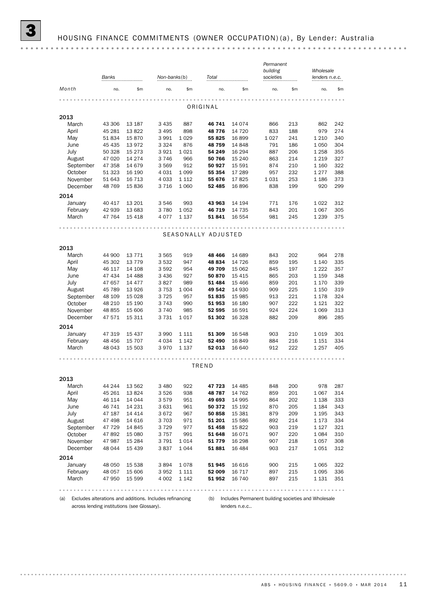|           |         |          |              |         |                     |          | Permanent<br>building |       | Wholesale      |     |
|-----------|---------|----------|--------------|---------|---------------------|----------|-----------------------|-------|----------------|-----|
|           | Banks   |          | Non-banks(b) |         | Total               |          | societies             |       | lenders n.e.c. |     |
| Month     | no.     | \$m      | no.          | \$m     | no.                 | \$m      | no.                   | \$m\$ | no.            | \$m |
|           |         |          |              |         |                     |          |                       |       |                |     |
|           |         |          |              |         | ORIGINAL            |          |                       |       |                |     |
| 2013      |         |          |              |         |                     |          |                       |       |                |     |
| March     | 43 306  | 13 187   | 3 4 3 5      | 887     | 46 741              | 14 074   | 866                   | 213   | 862            | 242 |
| April     | 45 281  | 13822    | 3 4 9 5      | 898     | 48776               | 14 720   | 833                   | 188   | 979            | 274 |
| May       | 51 834  | 15870    | 3 9 9 1      | 1029    | 55 825              | 16 899   | 1 0 2 7               | 241   | 1 2 1 0        | 340 |
| June      | 45 4 35 | 13972    | 3 3 2 4      | 876     | 48759               | 14 848   | 791                   | 186   | 1 0 5 0        | 304 |
| July      | 50 328  | 15 2 7 3 | 3921         | 1 0 2 1 | 54 249              | 16 294   | 887                   | 206   | 1 2 5 8        | 355 |
| August    | 47 0 20 | 14 274   | 3746         | 966     | 50 766              | 15 240   | 863                   | 214   | 1 2 1 9        | 327 |
| September | 47 358  | 14 679   | 3 5 6 9      | 912     | 50 927              | 15 591   | 874                   | 210   | 1 1 6 0        | 322 |
| October   | 51 323  | 16 190   | 4 0 3 1      | 1 0 9 9 | 55 354              | 17 289   | 957                   | 232   | 1277           | 388 |
| November  | 51 643  | 16 7 13  | 4 0 3 3      | 1 1 1 2 | 55 676              | 17825    | 1 0 3 1               | 253   | 1 1 8 6        | 373 |
| December  | 48 769  | 15836    | 3 7 1 6      | 1 0 6 0 | 52 485              | 16 896   | 838                   | 199   | 920            | 299 |
| 2014      |         |          |              |         |                     |          |                       |       |                |     |
| January   | 40 417  | 13 201   | 3546         | 993     | 43 963              | 14 194   | 771                   | 176   | 1022           | 312 |
| February  | 42 939  | 13 683   | 3780         | 1052    | 46 719              | 14 735   | 843                   | 201   | 1 0 6 7        | 305 |
| March     | 47 764  | 15 4 18  | 4 0 7 7      | 1 1 3 7 | 51841               | 16 554   | 981                   | 245   | 1 2 3 9        | 375 |
|           |         |          |              |         |                     |          |                       |       |                |     |
|           |         |          |              |         | SEASONALLY ADJUSTED |          |                       |       |                |     |
| 2013      |         |          |              |         |                     |          |                       |       |                |     |
| March     | 44 900  | 13 7 7 1 | 3 5 6 5      | 919     | 48 4 66             | 14 689   | 843                   | 202   | 964            | 278 |
| April     | 45 302  | 13 7 7 9 | 3 5 3 2      | 947     | 48 834              | 14 7 26  | 859                   | 195   | 1 1 4 0        | 335 |
| May       | 46 117  | 14 108   | 3592         | 954     | 49 709              | 15 062   | 845                   | 197   | 1 2 2 2        | 357 |
| June      | 47 434  | 14 4 88  | 3 4 3 6      | 927     | 50 870              | 15 4 15  | 865                   | 203   | 1 1 5 9        | 348 |
| July      | 47 657  | 14 477   | 3827         | 989     | 51 484              | 15 4 66  | 859                   | 201   | 1 1 7 0        | 339 |
| August    | 45 789  | 13 9 26  | 3 7 5 3      | 1 0 0 4 | 49 542              | 14 930   | 909                   | 225   | 1 1 5 0        | 319 |
| September | 48 109  | 15 0 28  | 3 7 2 5      | 957     | 51835               | 15 985   | 913                   | 221   | 1 1 7 8        | 324 |
| October   | 48 210  | 15 190   | 3 7 4 3      | 990     | 51 953              | 16 180   | 907                   | 222   | 1 1 2 1        | 322 |
| November  | 48 855  | 15 606   | 3740         | 985     | 52 595              | 16 591   | 924                   | 224   | 1 0 6 9        | 313 |
| December  | 47 571  | 15 311   | 3731         | 1017    | 51 302              | 16 3 28  | 882                   | 209   | 896            | 285 |
| 2014      |         |          |              |         |                     |          |                       |       |                |     |
| January   | 47 319  | 15 4 37  | 3 9 9 0      | 1 1 1 1 | 51 309              | 16 548   | 903                   | 210   | 1019           | 301 |
| February  | 48 45 6 | 15 707   | 4 0 34       | 1 1 4 2 | 52 490              | 16 849   | 884                   | 216   | 1 1 5 1        | 334 |
| March     | 48 043  | 15 503   | 3970         | 1 1 3 7 | 52 013              | 16 640   | 912                   | 222   | 1 2 5 7        | 405 |
|           |         |          |              |         |                     |          |                       |       |                |     |
|           |         |          |              |         | TREND               |          |                       |       |                |     |
| 2013      |         |          |              |         |                     |          |                       |       |                |     |
| March     | 44 244  | 13 562   | 3 4 8 0      | 922     | 47 723              | 14 4 85  | 848                   | 200   | 978            | 287 |
| April     | 45 261  | 13824    | 3526         | 938     | 48787               | 14 762   | 859                   | 201   | 1 0 6 7        | 314 |
| May       | 46 114  | 14 044   | 3579         | 951     | 49 693              | 14 995   | 864                   | 202   | 1 1 3 8        | 333 |
| June      | 46 741  | 14 231   | 3631         | 961     | 50 372              | 15 192   | 870                   | 205   | 1 1 8 4        | 343 |
| July      | 47 187  | 14 4 14  | 3672         | 967     | 50 858              | 15 381   | 879                   | 209   | 1 1 9 5        | 343 |
| August    | 47 498  | 14 616   | 3 7 0 3      | 971     | 51 201              | 15 586   | 892                   | 214   | 1 1 7 3        | 334 |
| September | 47 729  | 14 845   | 3729         | 977     | 51 458              | 15 822   | 903                   | 219   | 1 1 2 7        | 321 |
| October   | 47892   | 15 080   | 3 7 5 7      | 991     | 51 648              | 16 0 7 1 | 907                   | 220   | 1084           | 310 |
| November  | 47 987  | 15 2 84  | 3791         | 1014    | 51779               | 16 298   | 907                   | 218   | 1057           | 308 |
| December  | 48 044  | 15 4 39  | 3837         | 1044    | 51881               | 16 4 84  | 903                   | 217   | 1051           | 312 |
| 2014      |         |          |              |         |                     |          |                       |       |                |     |
| January   | 48 050  | 15 538   | 3894         | 1078    | 51 945              | 16 616   | 900                   | 215   | 1 0 6 5        | 322 |
| February  | 48 057  | 15 606   | 3952         | 1 1 1 1 | 52 009              | 16 717   | 897                   | 215   | 1 0 9 5        | 336 |
| March     | 47 950  | 15 599   | 4 0 0 2      | 1 1 4 2 | 51 952              | 16 740   | 897                   | 215   | 1 1 3 1        | 351 |
|           |         |          |              |         |                     |          |                       |       |                |     |

(a) Excludes alterations and additions. Includes refinancing (b) Includes Permanent building societies and Wholesale across lending institutions (see Glossary).

lenders n.e.c..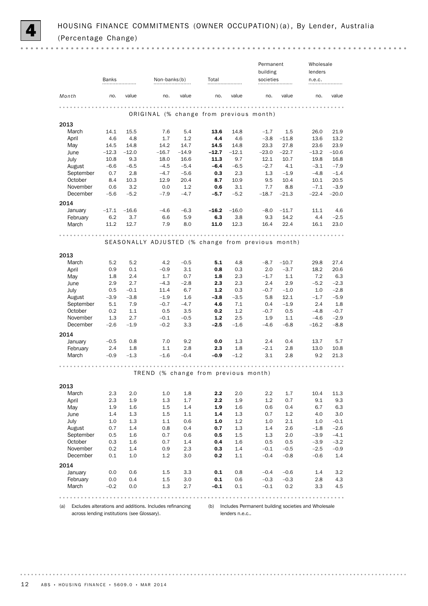

 $0.000$ 

|               |                                                                                                     |                                                                                |                                                                         |                                                                                        |                                                                            |                                                                   |                                                                                                                         | Wholesale<br>lenders                                                                                                                                                    |                                                                                                                                         |
|---------------|-----------------------------------------------------------------------------------------------------|--------------------------------------------------------------------------------|-------------------------------------------------------------------------|----------------------------------------------------------------------------------------|----------------------------------------------------------------------------|-------------------------------------------------------------------|-------------------------------------------------------------------------------------------------------------------------|-------------------------------------------------------------------------------------------------------------------------------------------------------------------------|-----------------------------------------------------------------------------------------------------------------------------------------|
|               |                                                                                                     |                                                                                |                                                                         |                                                                                        |                                                                            |                                                                   |                                                                                                                         |                                                                                                                                                                         |                                                                                                                                         |
| no.           | value                                                                                               | no.                                                                            | value                                                                   | no.                                                                                    | value                                                                      | no.                                                               | value                                                                                                                   | no.                                                                                                                                                                     | value                                                                                                                                   |
|               |                                                                                                     |                                                                                |                                                                         |                                                                                        |                                                                            |                                                                   |                                                                                                                         |                                                                                                                                                                         |                                                                                                                                         |
|               |                                                                                                     |                                                                                |                                                                         |                                                                                        |                                                                            |                                                                   |                                                                                                                         |                                                                                                                                                                         |                                                                                                                                         |
|               |                                                                                                     |                                                                                |                                                                         |                                                                                        |                                                                            |                                                                   |                                                                                                                         |                                                                                                                                                                         | 21.9                                                                                                                                    |
|               |                                                                                                     |                                                                                |                                                                         |                                                                                        |                                                                            |                                                                   |                                                                                                                         |                                                                                                                                                                         | 13.2                                                                                                                                    |
|               |                                                                                                     |                                                                                |                                                                         |                                                                                        |                                                                            |                                                                   |                                                                                                                         |                                                                                                                                                                         | 23.9                                                                                                                                    |
|               |                                                                                                     |                                                                                |                                                                         |                                                                                        |                                                                            |                                                                   |                                                                                                                         |                                                                                                                                                                         | $-10.6$                                                                                                                                 |
|               | 9.3                                                                                                 | 18.0                                                                           | 16.6                                                                    | 11.3                                                                                   | 9.7                                                                        | 12.1                                                              | 10.7                                                                                                                    | 19.8                                                                                                                                                                    | 16.8                                                                                                                                    |
| $-6.6$        |                                                                                                     | $-4.5$                                                                         | $-5.4$                                                                  | $-6.4$                                                                                 | $-6.5$                                                                     | $-2.7$                                                            | 4.1                                                                                                                     | $-3.1$                                                                                                                                                                  | $-7.9$                                                                                                                                  |
| 0.7           | 2.8                                                                                                 | $-4.7$                                                                         | $-5.6$                                                                  | 0.3                                                                                    | 2.3                                                                        | 1.3                                                               | $-1.9$                                                                                                                  | $-4.8$                                                                                                                                                                  | $-1.4$                                                                                                                                  |
| 8.4           | 10.3                                                                                                | 12.9                                                                           | 20.4                                                                    | 8.7                                                                                    | 10.9                                                                       | 9.5                                                               | 10.4                                                                                                                    | 10.1                                                                                                                                                                    | 20.5                                                                                                                                    |
| 0.6           | 3.2                                                                                                 | 0.0                                                                            | 1.2                                                                     | 0.6                                                                                    | 3.1                                                                        | 7.7                                                               | 8.8                                                                                                                     | $-7.1$                                                                                                                                                                  | $-3.9$                                                                                                                                  |
| $-5.6$        | $-5.2$                                                                                              | $-7.9$                                                                         | $-4.7$                                                                  | $-5.7$                                                                                 | $-5.2$                                                                     | $-18.7$                                                           | $-21.3$                                                                                                                 | $-22.4$                                                                                                                                                                 | $-20.0$                                                                                                                                 |
|               |                                                                                                     |                                                                                |                                                                         |                                                                                        |                                                                            |                                                                   |                                                                                                                         |                                                                                                                                                                         |                                                                                                                                         |
| $-17.1$       | $-16.6$                                                                                             | $-4.6$                                                                         | $-6.3$                                                                  | $-16.2$                                                                                | $-16.0$                                                                    | $-8.0$                                                            | $-11.7$                                                                                                                 | 11.1                                                                                                                                                                    | 4.6                                                                                                                                     |
| 6.2           | 3.7                                                                                                 | 6.6                                                                            | 5.9                                                                     | 6.3                                                                                    | 3.8                                                                        | 9.3                                                               | 14.2                                                                                                                    | 4.4                                                                                                                                                                     | $-2.5$                                                                                                                                  |
| 11.2          | 12.7                                                                                                | 7.9                                                                            | 8.0                                                                     | 11.0                                                                                   | 12.3                                                                       | 16.4                                                              | 22.4                                                                                                                    | 16.1                                                                                                                                                                    | 23.0                                                                                                                                    |
|               |                                                                                                     |                                                                                |                                                                         |                                                                                        |                                                                            |                                                                   |                                                                                                                         |                                                                                                                                                                         |                                                                                                                                         |
|               |                                                                                                     |                                                                                |                                                                         |                                                                                        |                                                                            |                                                                   |                                                                                                                         |                                                                                                                                                                         |                                                                                                                                         |
|               |                                                                                                     |                                                                                |                                                                         |                                                                                        |                                                                            |                                                                   |                                                                                                                         |                                                                                                                                                                         |                                                                                                                                         |
|               |                                                                                                     |                                                                                |                                                                         |                                                                                        |                                                                            |                                                                   |                                                                                                                         |                                                                                                                                                                         | 27.4                                                                                                                                    |
|               |                                                                                                     |                                                                                |                                                                         |                                                                                        |                                                                            |                                                                   |                                                                                                                         |                                                                                                                                                                         | 20.6                                                                                                                                    |
|               |                                                                                                     |                                                                                |                                                                         |                                                                                        |                                                                            |                                                                   |                                                                                                                         |                                                                                                                                                                         | 6.3                                                                                                                                     |
|               |                                                                                                     |                                                                                |                                                                         |                                                                                        |                                                                            |                                                                   |                                                                                                                         |                                                                                                                                                                         | $-2.3$                                                                                                                                  |
|               |                                                                                                     |                                                                                |                                                                         |                                                                                        |                                                                            |                                                                   |                                                                                                                         |                                                                                                                                                                         | $-2.8$                                                                                                                                  |
|               | $-3.8$                                                                                              | $-1.9$                                                                         | 1.6                                                                     | $-3.8$                                                                                 | $-3.5$                                                                     | 5.8                                                               |                                                                                                                         | $-1.7$                                                                                                                                                                  | $-5.9$                                                                                                                                  |
| 5.1           | 7.9                                                                                                 | $-0.7$                                                                         | $-4.7$                                                                  | 4.6                                                                                    | 7.1                                                                        | 0.4                                                               | $-1.9$                                                                                                                  | 2.4                                                                                                                                                                     | 1.8                                                                                                                                     |
| 0.2           | 1.1                                                                                                 | 0.5                                                                            | 3.5                                                                     | 0.2                                                                                    | 1.2                                                                        | $-0.7$                                                            | 0.5                                                                                                                     | $-4.8$                                                                                                                                                                  | $-0.7$                                                                                                                                  |
| 1.3           | 2.7                                                                                                 | $-0.1$                                                                         | $-0.5$                                                                  | 1.2                                                                                    | 2.5                                                                        | 1.9                                                               | 1.1                                                                                                                     | $-4.6$                                                                                                                                                                  | $-2.9$                                                                                                                                  |
| $-2.6$        | $-1.9$                                                                                              | $-0.2$                                                                         | 3.3                                                                     | $-2.5$                                                                                 | $-1.6$                                                                     | $-4.6$                                                            | $-6.8$                                                                                                                  | $-16.2$                                                                                                                                                                 | $-8.8$                                                                                                                                  |
|               |                                                                                                     |                                                                                |                                                                         |                                                                                        |                                                                            |                                                                   |                                                                                                                         |                                                                                                                                                                         |                                                                                                                                         |
| $-0.5$        | 0.8                                                                                                 | 7.0                                                                            | 9.2                                                                     | 0.0                                                                                    | 1.3                                                                        | 2.4                                                               | 0.4                                                                                                                     | 13.7                                                                                                                                                                    | 5.7                                                                                                                                     |
| 2.4           | 1.8                                                                                                 | 1.1                                                                            | 2.8                                                                     | 2.3                                                                                    | 1.8                                                                        | $-2.1$                                                            | 2.8                                                                                                                     | 13.0                                                                                                                                                                    | 10.8                                                                                                                                    |
| $-0.9$        | $-1.3$                                                                                              | $-1.6$                                                                         | $-0.4$                                                                  | $-0.9$                                                                                 | $-1.2$                                                                     | 3.1                                                               | 2.8                                                                                                                     | 9.2                                                                                                                                                                     | 21.3                                                                                                                                    |
|               |                                                                                                     |                                                                                |                                                                         |                                                                                        |                                                                            |                                                                   |                                                                                                                         |                                                                                                                                                                         |                                                                                                                                         |
|               |                                                                                                     |                                                                                |                                                                         |                                                                                        |                                                                            |                                                                   |                                                                                                                         |                                                                                                                                                                         |                                                                                                                                         |
|               |                                                                                                     |                                                                                |                                                                         |                                                                                        |                                                                            |                                                                   |                                                                                                                         |                                                                                                                                                                         |                                                                                                                                         |
|               | 2.0                                                                                                 | 1.0                                                                            | 1.8                                                                     | 2.2                                                                                    | 2.0                                                                        | $2.2\,$                                                           | 1.7                                                                                                                     | 10.4                                                                                                                                                                    | 11.3                                                                                                                                    |
| 2.3           | 1.9                                                                                                 | 1.3                                                                            | 1.7                                                                     | $2.2\,$                                                                                | 1.9                                                                        | 1.2                                                               | 0.7                                                                                                                     | 9.1                                                                                                                                                                     | 9.3                                                                                                                                     |
| 1.9           | 1.6                                                                                                 | 1.5                                                                            | 1.4                                                                     | 1.9                                                                                    | 1.6                                                                        | 0.6                                                               | 0.4                                                                                                                     | 6.7                                                                                                                                                                     | 6.3                                                                                                                                     |
| 1.4           | 1.3                                                                                                 | $1.5\,$                                                                        | 1.1                                                                     | 1.4                                                                                    | 1.3                                                                        | 0.7                                                               | 1.2                                                                                                                     | 4.0                                                                                                                                                                     | 3.0                                                                                                                                     |
| 1.0           | 1.3                                                                                                 | 1.1                                                                            | 0.6                                                                     | 1.0                                                                                    | 1.2                                                                        | 1.0                                                               | 2.1                                                                                                                     | 1.0                                                                                                                                                                     | $-0.1$                                                                                                                                  |
| 0.7           | 1.4                                                                                                 | 0.8                                                                            | 0.4                                                                     | 0.7                                                                                    | 1.3                                                                        | 1.4                                                               | 2.6                                                                                                                     | $-1.8$                                                                                                                                                                  | $-2.6$                                                                                                                                  |
| 0.5           | 1.6                                                                                                 | 0.7                                                                            | 0.6                                                                     | 0.5                                                                                    | 1.5                                                                        | 1.3                                                               | 2.0                                                                                                                     | $-3.9$                                                                                                                                                                  | $-4.1$                                                                                                                                  |
| 0.3           | 1.6                                                                                                 | 0.7                                                                            | 1.4                                                                     | 0.4                                                                                    | 1.6                                                                        | 0.5                                                               | 0.5                                                                                                                     | $-3.9$                                                                                                                                                                  | $-3.2$                                                                                                                                  |
| 0.2           | 1.4                                                                                                 | 0.9                                                                            | 2.3                                                                     | 0.3                                                                                    | 1.4                                                                        | $-0.1$                                                            | $-0.5$                                                                                                                  | $-2.5$                                                                                                                                                                  | $-0.9$                                                                                                                                  |
| 0.1           | 1.0                                                                                                 | 1.2                                                                            | 3.0                                                                     | 0.2                                                                                    | 1.1                                                                        | $-0.4$                                                            | $-0.8$                                                                                                                  | $-0.6$                                                                                                                                                                  | 1.4                                                                                                                                     |
|               |                                                                                                     |                                                                                |                                                                         |                                                                                        |                                                                            |                                                                   |                                                                                                                         |                                                                                                                                                                         |                                                                                                                                         |
|               |                                                                                                     |                                                                                | 3.3                                                                     | 0.1                                                                                    | 0.8                                                                        | $-0.4$                                                            | $-0.6$                                                                                                                  | 1.4                                                                                                                                                                     | 3.2                                                                                                                                     |
| 0.0           | 0.6                                                                                                 | $1.5\,$                                                                        |                                                                         |                                                                                        |                                                                            |                                                                   |                                                                                                                         |                                                                                                                                                                         |                                                                                                                                         |
| 0.0<br>$-0.2$ | 0.4<br>0.0                                                                                          | $1.5\,$<br>1.3                                                                 | 3.0<br>2.7                                                              | 0.1<br>$-0.1$                                                                          | 0.6<br>0.1                                                                 | $-0.3$<br>$-0.1$                                                  | $-0.3$<br>0.2                                                                                                           | 2.8<br>3.3                                                                                                                                                              | 4.3<br>4.5                                                                                                                              |
|               | Banks<br>14.1<br>4.6<br>14.5<br>$-12.3$<br>10.8<br>5.2<br>0.9<br>1.8<br>2.9<br>0.5<br>$-3.9$<br>2.3 | 15.5<br>4.8<br>14.8<br>$-12.0$<br>$-6.5$<br>5.2<br>0.1<br>2.4<br>2.7<br>$-0.1$ | 7.6<br>1.7<br>14.2<br>$-16.7$<br>4.2<br>$-0.9$<br>1.7<br>$-4.3$<br>11.4 | Non-banks(b)<br>5.4<br>1.2<br>14.7<br>$-14.9$<br>$-0.5$<br>3.1<br>0.7<br>$-2.8$<br>6.7 | Total<br>13.6<br>4.4<br>14.5<br>$-12.7$<br>5.1<br>0.8<br>1.8<br>2.3<br>1.2 | 14.8<br>4.6<br>14.8<br>$-12.1$<br>4.8<br>0.3<br>2.3<br>2.3<br>0.3 | $-1.7$<br>$-3.8$<br>23.3<br>$-23.0$<br>$-8.7$<br>2.0<br>$-1.7$<br>2.4<br>$-0.7$<br>TREND (% change from previous month) | Permanent<br>building<br>societies<br>ORIGINAL (% change from previous month)<br>1.5<br>$-11.8$<br>27.8<br>$-22.7$<br>$-10.7$<br>$-3.7$<br>1.1<br>2.9<br>$-1.0$<br>12.1 | n.e.c.<br>26.0<br>13.6<br>23.6<br>$-13.2$<br>SEASONALLY ADJUSTED (% change from previous month)<br>29.8<br>18.2<br>7.2<br>$-5.2$<br>1.0 |

across lending institutions (see Glossary).

lenders n.e.c..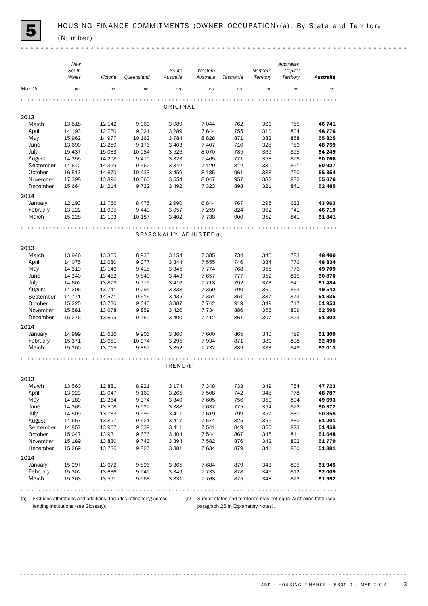(a) Excludes alterations and additions. Includes refinancing across lending institutions (see Glossary).

(b) Sum of states and territories may not equal Australian total (see paragraph 26 in Explanatory Notes).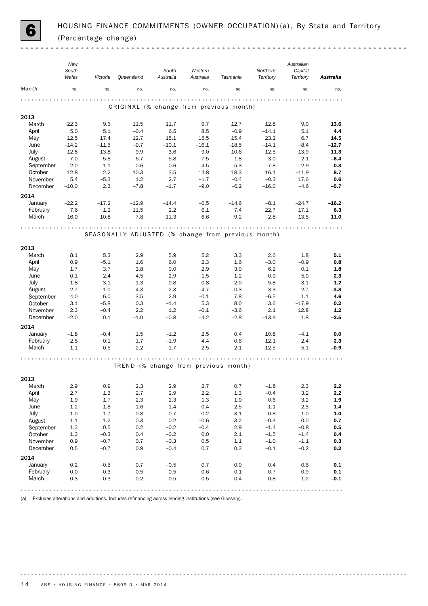

 $\sim$   $\sim$ 

|                   | New<br>South<br>Wales | Victoria         | Queensland | South<br>Australia | Western<br>Australia                               | Tasmania         | Northern<br>Territory | Australian<br>Capital<br>Territory | <b>Australia</b> |
|-------------------|-----------------------|------------------|------------|--------------------|----------------------------------------------------|------------------|-----------------------|------------------------------------|------------------|
| Month             | no.                   | no.              | no.        | no.                | no.                                                | no.              | no.                   | no.                                | no.              |
|                   |                       |                  |            |                    |                                                    |                  |                       |                                    |                  |
| 2013              |                       |                  |            |                    | ORIGINAL (% change from previous month)            |                  |                       |                                    |                  |
| March             | 22.3                  | 9.6              | 11.5       | 11.7               | 9.7                                                | 12.7             | 12.8                  | 9.0                                | 13.6             |
| April             | 5.0                   | 5.1              | $-0.4$     | 6.5                | 8.5                                                | $-0.9$           | $-14.1$               | 5.1                                | 4.4              |
| May               | 12.5                  | 17.4             | 12.7       | 15.1               | 15.5                                               | 15.4             | 23.2                  | 6.7                                | 14.5             |
| June              | $-14.2$               | $-11.5$          | $-9.7$     | $-10.1$            | $-16.1$                                            | $-18.5$          | $-14.1$               | $-8.4$                             | $-12.7$          |
| July              | 12.8                  | 13.8             | 9.9        | 3.6                | 9.0                                                | 10.6             | 12.5                  | 13.9                               | 11.3             |
| August            | $-7.0$                | $-5.8$           | $-6.7$     | $-5.8$             | $-7.5$                                             | $-1.8$           | $-3.0$                | $-2.1$                             | $-6.4$           |
| September         | 2.0                   | 1.1              | 0.6        | 0.6                | $-4.5$                                             | 5.3              | $-7.8$                | $-2.9$                             | 0.3              |
| October           | 12.8                  | 2.2              | 10.3       | 3.5                | 14.8                                               | 18.3             | 16.1                  | $-11.9$                            | 8.7              |
| November          | 5.4                   | $-5.3$           | 1.2        | 2.7                | $-1.7$                                             | $-0.4$           | $-0.3$                | 17.6                               | 0.6              |
| December          | $-10.0$               | 2.3              | $-7.8$     | $-1.7$             | $-9.0$                                             | $-6.2$           | $-16.0$               | $-4.6$                             | $-5.7$           |
| 2014              |                       |                  |            |                    |                                                    |                  |                       |                                    |                  |
| January           | $-22.2$               | $-17.2$          | $-12.9$    | $-14.4$            | $-6.5$                                             | $-14.6$          | $-8.1$                | $-24.7$                            | $-16.2$          |
| February          | 7.6                   | 1.2              | 11.5       | 2.2                | 6.1                                                | 7.4              | 22.7                  | 17.1                               | 6.3              |
| March             | 16.0                  | 10.8             | 7.8        | 11.3               | 6.6                                                | 9.2              | $-2.8$                | 13.5                               | 11.0             |
|                   |                       |                  |            | .                  |                                                    |                  |                       |                                    |                  |
|                   |                       |                  |            |                    | SEASONALLY ADJUSTED (% change from previous month) |                  |                       |                                    |                  |
|                   |                       |                  |            |                    |                                                    |                  |                       |                                    |                  |
| 2013              |                       |                  |            |                    |                                                    |                  |                       |                                    |                  |
| March             | 8.1                   | 5.3              | 2.9        | 5.9                | 5.2                                                | 3.3              | 2.6                   | 1.8                                | 5.1              |
| April             | 0.9                   | $-5.1$           | 1.6        | 6.0                | 2.3                                                | 1.6              | $-3.0$                | $-0.9$                             | 0.8              |
| May               | 1.7                   | 3.7              | 3.8        | 0.0                | 2.9                                                | 3.0              | 6.2                   | 0.1                                | 1.8              |
| June              | 0.1                   | 2.4              | 4.5        | 2.9                | $-1.5$                                             | 1.2              | $-0.9$                | 5.0                                | 2.3              |
| July              | 1.8                   | 3.1              | $-1.3$     | $-0.8$             | 0.8                                                | 2.0              | 5.8                   | 3.1                                | $1.2$            |
| August            | $-2.7$                | $-1.0$           | $-4.3$     | $-2.3$             | $-4.7$                                             | $-0.3$           | $-3.3$                | 2.7                                | $-3.8$           |
| September         | 4.0                   | 6.0              | 3.5        | 2.9                | $-0.1$                                             | 7.8              | $-6.5$                | 1.1                                | 4.6              |
| October           | 3.1                   | $-5.8$           | 0.3        | $-1.4$             | 5.3                                                | 8.0              | 3.6                   | $-17.9$                            | 0.2              |
| November          | 2.3                   | $-0.4$           | 2.2        | 1.2                | $-0.1$                                             | $-3.6$           | 2.1                   | 12.8                               | $1.2$            |
| December          | $-2.0$                | 0.1              | $-1.0$     | $-0.8$             | $-4.2$                                             | $-2.8$           | $-13.9$               | 1.8                                | $-2.5$           |
| 2014              |                       |                  |            |                    |                                                    |                  |                       |                                    |                  |
| January           | $-1.8$                | $-0.4$           | 1.5        | $-1.2$             | 2.5                                                | 0.4              | 10.8                  | $-4.1$                             | 0.0              |
| February          | 2.5                   | 0.1              | 1.7        | $-1.9$             | 4.4                                                | 0.6              | 12.1                  | 2.4                                | 2.3              |
| March             | $-1.1$                | 0.5              | $-2.2$     | 1.7                | $-2.5$                                             | 2.1              | $-12.5$               | 5.1                                | $-0.9$           |
|                   |                       |                  |            |                    |                                                    |                  |                       |                                    |                  |
|                   |                       |                  |            |                    | TREND (% change from previous month)               |                  |                       |                                    |                  |
|                   |                       |                  |            |                    |                                                    |                  |                       |                                    |                  |
| 2013              |                       |                  |            |                    |                                                    |                  |                       |                                    |                  |
| March             | 2.9                   | 0.9              | 2.3        | 2.9                | 2.7                                                | 0.7              | $-1.8$                | 2.3                                | 2.2              |
| April             | 2.7                   | $1.3\,$          | 2.7        | 2.9                | $2.2\,$                                            | $1.3\,$          | $-0.4$                | 3.2                                | 2.2              |
| May               | 1.9                   | 1.7              | 2.3        | 2.3                | $1.3\,$                                            | 1.9              | $0.6\,$               | $3.2\,$                            | $1.9\,$          |
| June              | 1.2                   | 1.8              | 1.6        | 1.4                | 0.4                                                | 2.5              | 1.1                   | 2.3                                | 1.4              |
| July<br>August    | $1.0\,$               | $1.7\,$          | 0.8        | 0.7                | $-0.2$                                             | 3.1              | 0.8<br>$-0.3$         | 1.0                                | 1.0              |
| September         | 1.1<br>1.3            | 1.2<br>0.5       | 0.3<br>0.2 | 0.2<br>$-0.2$      | $-0.6$<br>$-0.4$                                   | 3.2<br>2.9       | $-1.4$                | $0.0\,$<br>$-0.8$                  | 0.7<br>0.5       |
| October           | $1.3\,$               | $-0.3$           | 0.4        | $-0.2$             | $0.0\,$                                            | $2.1\,$          | $-1.5$                | $-1.4$                             | 0.4              |
| November          | 0.9                   | $-0.7$           | 0.7        | $-0.3$             | 0.5                                                | 1.1              | $-1.0$                | $-1.1$                             | 0.3              |
| December          | 0.5                   | $-0.7$           | 0.9        | $-0.4$             | 0.7                                                | $0.3\,$          | $-0.1$                | $-0.2$                             | 0.2              |
|                   |                       |                  |            |                    |                                                    |                  |                       |                                    |                  |
| 2014              |                       |                  |            |                    |                                                    |                  |                       |                                    |                  |
| January           | 0.2                   | $-0.5$           | 0.7        | $-0.5$             | 0.7                                                | 0.0              | 0.4<br>0.7            | 0.6                                | $0.1\,$          |
| February<br>March | $0.0\,$<br>$-0.3$     | $-0.3$<br>$-0.3$ | 0.5<br>0.2 | $-0.5$<br>$-0.5$   | 0.6<br>0.5                                         | $-0.1$<br>$-0.4$ | 0.8                   | 0.9<br>$1.2\,$                     | 0.1<br>$-0.1$    |
|                   |                       |                  |            |                    |                                                    |                  |                       |                                    |                  |
|                   |                       |                  |            |                    |                                                    |                  |                       |                                    |                  |

(a) Excludes alterations and additions. Includes refinancing across lending institutions (see Glossary).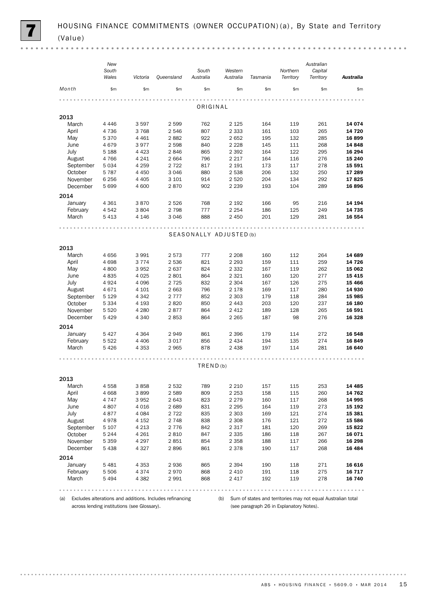|                      | New<br>South       |                    |                    | South                   | Western            |            | Northern   | Australian<br>Capital |                   |  |  |
|----------------------|--------------------|--------------------|--------------------|-------------------------|--------------------|------------|------------|-----------------------|-------------------|--|--|
|                      | Wales              | Victoria           | Queensland         | Australia               | Australia          | Tasmania   | Territory  | Territory             | Australia         |  |  |
| Month                | \$m\$              | \$m\$              | \$m\$              | \$m                     | \$m\$              | \$m        | \$m\$      | \$m                   | \$m               |  |  |
|                      |                    |                    |                    | ORIGINAL                |                    |            |            |                       |                   |  |  |
| 2013                 |                    |                    |                    |                         |                    |            |            |                       |                   |  |  |
| March                | 4 4 4 6            | 3 5 9 7            | 2 5 9 9            | 762                     | 2 1 2 5            | 164        | 119        | 261                   | 14 074            |  |  |
| April                | 4736               | 3768               | 2546               | 807                     | 2 3 3 3            | 161        | 103        | 265                   | 14 720            |  |  |
| May                  | 5 3 7 0            | 4 4 6 1            | 2882               | 922                     | 2652               | 195        | 132        | 285                   | 16899             |  |  |
| June                 | 4679               | 3977               | 2 5 9 8            | 840                     | 2 2 2 8            | 145        | 111        | 268                   | 14 848            |  |  |
| July                 | 5 1 8 8            | 4 4 2 3            | 2846               | 865                     | 2 3 9 2            | 164        | 122        | 295                   | 16 294            |  |  |
| August               | 4766               | 4 2 4 1            | 2 6 6 4            | 796                     | 2 2 1 7            | 164        | 116        | 276                   | 15 240            |  |  |
| September            | 5 0 3 4            | 4 2 5 9            | 2 7 2 2            | 817                     | 2 1 9 1            | 173        | 117        | 278                   | 15 591            |  |  |
| October<br>November  | 5787<br>6 2 5 6    | 4 4 5 0<br>4 4 0 5 | 3 0 4 6<br>3 1 0 1 | 880<br>914              | 2 5 3 8<br>2 5 2 0 | 206<br>204 | 132<br>134 | 250<br>292            | 17 289<br>17825   |  |  |
| December             | 5 6 9 9            | 4 600              | 2870               | 902                     | 2 2 3 9            | 193        | 104        | 289                   | 16896             |  |  |
|                      |                    |                    |                    |                         |                    |            |            |                       |                   |  |  |
| 2014<br>January      | 4 3 6 1            | 3870               | 2 5 2 6            | 768                     | 2 1 9 2            | 166        | 95         | 216                   | 14 194            |  |  |
| February             | 4 542              | 3804               | 2 7 9 8            | 777                     | 2 2 5 4            | 186        | 125        | 249                   | 14 735            |  |  |
| March                | 5413               | 4 1 4 6            | 3 0 4 6            | 888                     | 2 4 5 0            | 201        | 129        | 281                   | 16 554            |  |  |
|                      | .                  |                    |                    |                         |                    |            |            |                       |                   |  |  |
|                      |                    |                    |                    | SEASONALLY ADJUSTED (b) |                    |            |            |                       |                   |  |  |
| 2013                 |                    |                    |                    |                         |                    |            |            |                       |                   |  |  |
| March                | 4 6 5 6            | 3 9 9 1            | 2573               | 777                     | 2 2 0 8            | 160        | 112        | 264                   | 14 689            |  |  |
| April                | 4698               | 3 7 7 4            | 2 5 3 6            | 821                     | 2 2 9 3            | 159        | 111        | 259                   | 14 726            |  |  |
| May                  | 4 800              | 3952               | 2637               | 824                     | 2 3 3 2            | 167        | 119        | 262                   | 15 062            |  |  |
| June                 | 4835               | 4 0 25             | 2801               | 864                     | 2 3 2 1            | 160        | 120        | 277                   | 15 4 15           |  |  |
| July                 | 4924<br>4671       | 4 0 9 6<br>4 101   | 2 7 2 5<br>2 6 6 3 | 832<br>796              | 2 3 0 4<br>2 1 7 8 | 167<br>169 | 126<br>117 | 275                   | 15 4 66<br>14 930 |  |  |
| August<br>September  | 5 1 2 9            | 4 342              | 2 7 7 7            | 852                     | 2 3 0 3            | 179        | 118        | 280<br>284            | 15 985            |  |  |
| October              | 5 3 3 4            | 4 1 9 3            | 2820               | 850                     | 2 4 4 3            | 203        | 120        | 237                   | 16 180            |  |  |
| November             | 5 5 20             | 4 2 8 0            | 2877               | 864                     | 2412               | 189        | 128        | 265                   | 16 591            |  |  |
| December             | 5429               | 4 3 4 0            | 2853               | 864                     | 2 2 6 5            | 187        | 98         | 276                   | 16 328            |  |  |
| 2014                 |                    |                    |                    |                         |                    |            |            |                       |                   |  |  |
| January              | 5427               | 4 3 6 4            | 2949               | 861                     | 2 3 9 6            | 179        | 114        | 272                   | 16 548            |  |  |
| February             | 5 5 2 2            | 4 4 0 6            | 3017               | 856                     | 2 4 3 4            | 194        | 135        | 274                   | 16849             |  |  |
| March                | 5426               | 4 3 5 3            | 2965               | 878                     | 2 4 3 8            | 197        | 114        | 281                   | 16 640            |  |  |
|                      |                    |                    |                    |                         |                    |            |            |                       |                   |  |  |
|                      |                    |                    |                    | TRED(b)                 |                    |            |            |                       |                   |  |  |
| 2013                 |                    |                    |                    |                         |                    |            |            |                       |                   |  |  |
| March                | 4558               | 3858               | 2 5 3 2            | 789                     | 2 2 1 0            | 157        | 115        | 253                   | 14 485            |  |  |
| April                | 4668               | 3899               | 2 5 8 9            | 809                     | 2 2 5 3            | 158        | 115        | 260                   | 14 762            |  |  |
| May                  | 4 7 4 7            | 3952               | 2 643              | 823                     | 2 2 7 9            | 160        | 117        | 268                   | 14 995            |  |  |
| June                 | 4807               | 4016               | 2689               | 831                     | 2 2 9 5            | 164        | 119        | 273                   | 15 192            |  |  |
| July                 | 4877               | 4 0 84             | 2 7 2 2            | 835                     | 2 3 0 3            | 169        | 121        | 274                   | 15 381            |  |  |
| August               | 4978               | 4 152              | 2 7 4 8            | 838                     | 2 3 0 8            | 176        | 121        | 272                   | 15 586            |  |  |
| September            | 5 1 0 7            | 4 2 1 3            | 2 7 7 6            | 842                     | 2 3 1 7            | 181        | 120        | 269                   | 15 822            |  |  |
| October              | 5 2 4 4            | 4 2 6 1            | 2810               | 847                     | 2 3 3 5            | 186        | 118        | 267                   | 16 071            |  |  |
| November<br>December | 5 3 5 9<br>5 4 3 8 | 4 2 9 7<br>4 3 2 7 | 2851<br>2896       | 854<br>861              | 2 3 5 8            | 188<br>190 | 117<br>117 | 266<br>268            | 16 298<br>16 484  |  |  |
|                      |                    |                    |                    |                         | 2 3 7 8            |            |            |                       |                   |  |  |
| 2014<br>January      |                    |                    |                    |                         |                    |            |            |                       |                   |  |  |
| February             | 5481<br>5 5 0 6    | 4 3 5 3<br>4 3 7 4 | 2936<br>2970       | 865<br>868              | 2 3 9 4<br>2 4 1 0 | 190<br>191 | 118<br>118 | 271<br>275            | 16 616<br>16 717  |  |  |
| March                | 5494               | 4 3 8 2            | 2991               | 868                     | 2417               | 192        | 119        | 278                   | 16 740            |  |  |
|                      |                    |                    |                    |                         |                    |            |            |                       |                   |  |  |

(a) Excludes alterations and additions. Includes refinancing across lending institutions (see Glossary).

(b) Sum of states and territories may not equal Australian total (see paragraph 26 in Explanatory Notes).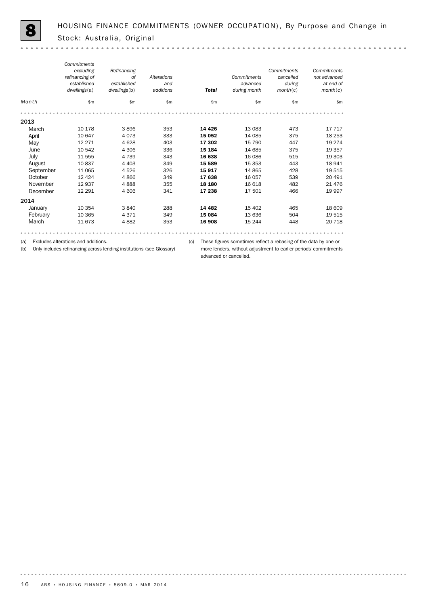$\sim$   $\sim$ 

*Commitments Refinancing Commitments Commitments excluding refinancing of of Alterations Commitments cancelled not advanced established established and advanced during at end of dwellings*(a) *dwellings*(b) *additions Total during month month*(c) *month*(c) *Month* \$m \$m \$m \$m \$m \$m \$m 2013<br>March March 10 178 3 896 353 **14 426** 13 083 473 17 717 April 10 647 4 073 333 **15 052** 14 085 375 18 253 May 12 271 4 628 403 **17 302** 15 790 447 19 274 June 10 542 4 306 336 **15 184** 14 685 375 19 357 July 11 555 4 739 343 16 638 16 086 515 19 303 August 10 837 4 403 349 15 589 15 353 443 18 941 September 11 065 4 526 326 **15 917** 14 865 428 19 515 0ctober 12 424 4 866 349 **17 638** 16 057 539 20 491 November 12 937 4 888 355 **18 180** 16 618 482 21 476 December 12 291 4 606 341 **17 238** 17 501 466 19 997 2014<br>January January 10 354 3 840 288 14 482 15 402 465 18 609 February 10 365 4 371 349 **15 084** 13 636 504 19 515 March 11 673 4 882 353 **16 908** 15 244 448 20 718 

(a) Excludes alterations and additions.

(b) Only includes refinancing across lending institutions (see Glossary)

(c) These figures sometimes reflect a rebasing of the data by one or more lenders, without adjustment to earlier periods' commitments advanced or cancelled.

. . . . . . . . . .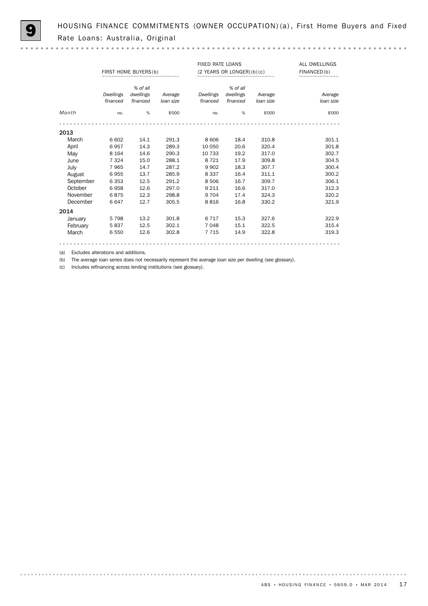HOUSING FINANCE COMMITMENTS (OWNER OCCUPATION) (a), First Home Buyers and Fixed Rate Loans: Australia, Original

|           |           | FIRST HOME BUYERS (b) |           | <b>FIXED RATE LOANS</b> | $(2$ YEARS OR LONGER) $(b)(c)$ | ALL DWELLINGS<br>FINANCED(b) |           |
|-----------|-----------|-----------------------|-----------|-------------------------|--------------------------------|------------------------------|-----------|
|           | Dwellings | % of all<br>dwellings | Average   | Dwellings               | % of all<br>dwellings          | Average                      | Average   |
|           | financed  | financed              | loan size | financed                | financed                       | loan size                    | loan size |
| Month     | no.       | %                     | \$'000    | no.                     | %                              | \$'000                       | \$'000    |
|           |           |                       |           |                         |                                |                              |           |
| 2013      |           |                       |           |                         |                                |                              |           |
| March     | 6 602     | 14.1                  | 291.3     | 8606                    | 18.4                           | 310.8                        | 301.1     |
| April     | 6957      | 14.3                  | 289.3     | 10 050                  | 20.6                           | 320.4                        | 301.8     |
| May       | 8 1 6 4   | 14.6                  | 290.3     | 10 733                  | 19.2                           | 317.0                        | 302.7     |
| June      | 7 3 2 4   | 15.0                  | 288.1     | 8 7 2 1                 | 17.9                           | 309.8                        | 304.5     |
| July      | 7965      | 14.7                  | 287.2     | 9 9 0 2                 | 18.3                           | 307.7                        | 300.4     |
| August    | 6955      | 13.7                  | 285.9     | 8 3 3 7                 | 16.4                           | 311.1                        | 300.2     |
| September | 6 3 5 3   | 12.5                  | 291.2     | 8506                    | 16.7                           | 309.7                        | 306.1     |
| October   | 6958      | 12.6                  | 297.0     | 9 2 1 1                 | 16.6                           | 317.0                        | 312.3     |
| November  | 6875      | 12.3                  | 298.8     | 9 7 0 4                 | 17.4                           | 324.3                        | 320.2     |
| December  | 6647      | 12.7                  | 305.5     | 8816                    | 16.8                           | 330.2                        | 321.9     |
| 2014      |           |                       |           |                         |                                |                              |           |
| January   | 5798      | 13.2                  | 301.8     | 6 7 1 7                 | 15.3                           | 327.6                        | 322.9     |
| February  | 5837      | 12.5                  | 302.1     | 7048                    | 15.1                           | 322.5                        | 315.4     |
| March     | 6 5 5 0   | 12.6                  | 302.8     | 7 7 1 5                 | 14.9                           | 322.8                        | 319.3     |
|           |           |                       |           |                         |                                |                              |           |

(a) Excludes alterations and additions.

(b) The average loan series does not necessarily represent the average loan size per dwelling (see glossary).

(c) Includes refinancing across lending institutions (see glossary).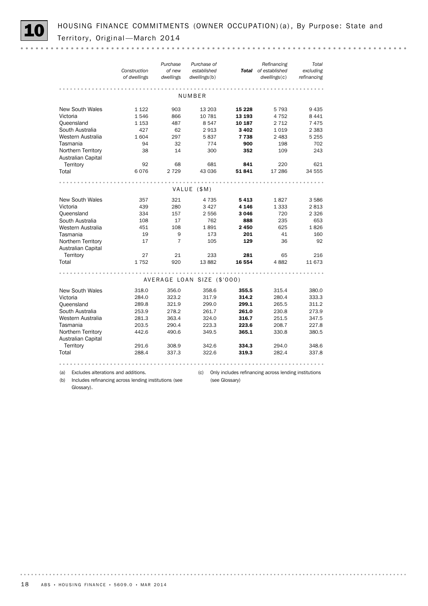HOUSING FINANCE COMMITMENTS (OWNER OCCUPATION) (a), By Purpose: State and Territory, Original - March 2014

|                                                  | Construction<br>of dwellings | Purchase<br>of new<br>dwellings | Purchase of<br>established<br>dwellings(b) |                             | Refinancing<br>Total of established<br>dwellings(c)   | Total<br>excluding<br>refinancing |
|--------------------------------------------------|------------------------------|---------------------------------|--------------------------------------------|-----------------------------|-------------------------------------------------------|-----------------------------------|
|                                                  |                              |                                 | NUMBER                                     |                             |                                                       |                                   |
| <b>New South Wales</b><br>Victoria<br>Queensland | 1 1 2 2<br>1546<br>1 1 5 3   | 903<br>866<br>487               | 13 203<br>10 781<br>8547                   | 15 2 28<br>13 193<br>10 187 | 5 7 9 3<br>4 7 5 2<br>2 7 1 2                         | 9 4 3 5<br>8 4 4 1<br>7475        |
| South Australia<br>Western Australia<br>Tasmania | 427<br>1604<br>94            | 62<br>297<br>32                 | 2913<br>5837<br>774                        | 3 4 0 2<br>7 7 3 8<br>900   | 1019<br>2 4 8 3<br>198                                | 2 3 8 3<br>5 2 5 5<br>702         |
| Northern Territory<br>Australian Capital         | 38                           | 14                              | 300                                        | 352                         | 109                                                   | 243                               |
| Territory<br>Total                               | 92<br>6076                   | 68<br>2729                      | 681<br>43 036                              | 841<br>51841                | 220<br>17 28 6                                        | 621<br>34 555                     |
|                                                  |                              |                                 | VALUE (\$M)                                |                             |                                                       |                                   |
|                                                  |                              |                                 |                                            |                             |                                                       |                                   |
| New South Wales                                  | 357                          | 321                             | 4 7 3 5                                    | 5413                        | 1827                                                  | 3586                              |
| Victoria                                         | 439                          | 280                             | 3 4 2 7                                    | 4 1 4 6                     | 1 3 3 3                                               | 2813                              |
| Queensland                                       | 334                          | 157                             | 2556                                       | 3046                        | 720                                                   | 2 3 2 6                           |
| South Australia                                  | 108                          | 17                              | 762                                        | 888                         | 235                                                   | 653                               |
| Western Australia                                | 451                          | 108                             | 1891                                       | 2 450                       | 625                                                   | 1826                              |
| Tasmania                                         | 19                           | 9                               | 173                                        | 201                         | 41                                                    | 160                               |
| Northern Territory<br>Australian Capital         | 17                           | $\overline{7}$                  | 105                                        | 129                         | 36                                                    | 92                                |
| Territory                                        | 27                           | 21                              | 233                                        | 281                         | 65                                                    | 216                               |
| Total                                            | 1752                         | 920                             | 13882                                      | 16 554                      | 4882                                                  | 11 673                            |
|                                                  |                              |                                 | AVERAGE LOAN SIZE (\$'000)                 |                             |                                                       |                                   |
| <b>New South Wales</b>                           | 318.0                        | 356.0                           | 358.6                                      | 355.5                       | 315.4                                                 | 380.0                             |
| Victoria                                         | 284.0                        | 323.2                           | 317.9                                      | 314.2                       | 280.4                                                 | 333.3                             |
| Queensland                                       | 289.8                        | 321.9                           | 299.0                                      | 299.1                       | 265.5                                                 | 311.2                             |
| South Australia                                  | 253.9                        | 278.2                           | 261.7                                      | 261.0                       | 230.8                                                 | 273.9                             |
| Western Australia                                | 281.3                        | 363.4                           | 324.0                                      | 316.7                       | 251.5                                                 | 347.5                             |
| Tasmania                                         | 203.5                        | 290.4                           | 223.3                                      | 223.6                       | 208.7                                                 | 227.8                             |
| Northern Territory<br>Australian Capital         | 442.6                        | 490.6                           | 349.5                                      | 365.1                       | 330.8                                                 | 380.5                             |
| Territory                                        | 291.6                        | 308.9                           | 342.6                                      | 334.3                       | 294.0                                                 | 348.6                             |
| Total                                            | 288.4                        | 337.3                           | 322.6                                      | 319.3                       | 282.4                                                 | 337.8                             |
|                                                  |                              |                                 |                                            |                             |                                                       |                                   |
| (a)<br>Excludes alterations and additions.       |                              |                                 | (c)                                        |                             | Only includes refinancing across lending institutions |                                   |

(b) Includes refinancing across lending institutions (see Glossary).

(c) Only includes refinancing across lending institutions

(see Glossary)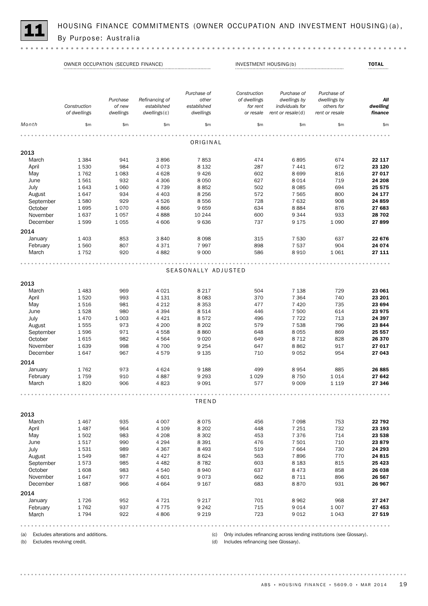

HOUSING FINANCE COMMITMENTS (OWNER OCCUPATION AND INVESTMENT HOUSING)(a),<br>By Purpose: Australia

OWNER OCCUPATION (SECURED FINANCE) INVESTMENT HOUSING(b) TOTAL

|           | Construction | Purchase<br>of new | Refinancing of<br>established | Purchase of<br>other<br>established | Construction<br>of dwellings<br>for rent | Purchase of<br>dwellings by<br>individuals for | Purchase of<br>dwellings by<br>others for | All<br>dwelling |
|-----------|--------------|--------------------|-------------------------------|-------------------------------------|------------------------------------------|------------------------------------------------|-------------------------------------------|-----------------|
|           | of dwellings | dwellings          | dwellings(c)                  | dwellings                           | or resale                                | rent or $resale(d)$                            | rent or resale                            | finance         |
| Month     | \$m\$        | \$m                | \$m                           | \$m\$                               | \$m\$                                    | \$m\$                                          | \$m\$                                     | \$m\$           |
|           |              |                    |                               |                                     |                                          |                                                |                                           |                 |
|           |              |                    |                               | ORIGINAL                            |                                          |                                                |                                           |                 |
| 2013      |              |                    |                               |                                     |                                          |                                                |                                           |                 |
| March     | 1 3 8 4      | 941                | 3896                          | 7853                                | 474                                      | 6895                                           | 674                                       | 22 117          |
| April     | 1530         | 984                | 4073                          | 8 1 3 2                             | 287                                      | 7 4 4 1                                        | 672                                       | 23 1 20         |
| May       | 1762         | 1 0 8 3            | 4628                          | 9426                                | 602                                      | 8699                                           | 816                                       | 27 017          |
| June      | 1561         | 932                | 4 3 0 6                       | 8 0 5 0                             | 627                                      | 8 0 1 4                                        | 719                                       | 24 208          |
| July      | 1643         | 1 0 6 0            | 4 7 3 9                       | 8852                                | 502                                      | 8 0 8 5                                        | 694                                       | 25 575          |
| August    | 1647         | 934                | 4 4 0 3                       | 8 2 5 6                             | 572                                      | 7 5 6 5                                        | 800                                       | 24 177          |
| September | 1580         | 929                | 4526                          | 8556                                | 728                                      | 7632                                           | 908                                       | 24 859          |
| October   | 1695         | 1070               | 4866                          | 9659                                | 634                                      | 8884                                           | 876                                       | 27 683          |
| November  | 1637         | 1057               | 4888                          | 10 244                              | 600                                      | 9344                                           | 933                                       | 28 702          |
| December  | 1599         | 1055               | 4 60 6                        | 9636                                | 737                                      | 9 1 7 5                                        | 1 0 9 0                                   | 27899           |
| 2014      |              |                    |                               |                                     |                                          |                                                |                                           |                 |
| January   | 1 4 0 3      | 853                | 3840                          | 8098                                | 315                                      | 7 5 3 0                                        | 637                                       | 22 676          |
| February  | 1560         | 807                | 4371                          | 7997                                | 898                                      | 7537                                           | 904                                       | 24 074          |
| March     | 1752         | 920                | 4882                          | 9 0 0 0                             | 586                                      | 8910                                           | 1 0 6 1                                   | 27 111          |
|           |              |                    |                               |                                     |                                          |                                                |                                           |                 |
|           |              |                    |                               | SEASONALLY ADJUSTED                 |                                          |                                                |                                           |                 |
| 2013      |              |                    |                               |                                     |                                          |                                                |                                           |                 |
| March     | 1483         | 969                | 4 0 2 1                       | 8 2 1 7                             | 504                                      | 7 1 3 8                                        | 729                                       | 23 061          |
| April     | 1520         | 993                | 4 1 3 1                       | 8083                                | 370                                      | 7 3 6 4                                        | 740                                       | 23 201          |
| May       | 1516         | 981                | 4 2 1 2                       | 8 3 5 3                             | 477                                      | 7 4 2 0                                        | 735                                       | 23 694          |
| June      | 1528         | 980                | 4 3 9 4                       | 8514                                | 446                                      | 7 500                                          | 614                                       | 23 975          |
| July      | 1470         | 1 0 0 3            | 4 4 2 1                       | 8572                                | 496                                      | 7722                                           | 713                                       | 24 397          |
| August    | 1555         | 973                | 4 200                         | 8 2 0 2                             | 579                                      | 7 5 3 8                                        | 796                                       | 23 844          |
| September | 1596         | 971                | 4558                          | 8860                                | 648                                      | 8055                                           | 869                                       | 25 557          |
| October   | 1615         | 982                | 4564                          | 9 0 2 0                             | 649                                      | 8712                                           | 828                                       | 26 370          |
| November  | 1639         | 998                | 4 700                         | 9 2 5 4                             | 647                                      | 8862                                           | 917                                       | 27 017          |
| December  | 1647         | 967                | 4579                          | 9 1 3 5                             | 710                                      | 9052                                           | 954                                       | 27 043          |
| 2014      |              |                    |                               |                                     |                                          |                                                |                                           |                 |
| January   | 1762         | 973                | 4 6 2 4                       | 9 1 8 8                             | 499                                      | 8954                                           | 885                                       | 26 885          |
| February  | 1759         | 910                | 4887                          | 9 2 9 3                             | 1 0 2 9                                  | 8750                                           | 1014                                      | 27 642          |
| March     | 1820         | 906                | 4823                          | 9091                                | 577                                      | 9 0 0 9                                        | 1 1 1 9                                   | 27 346          |
|           |              |                    |                               |                                     |                                          |                                                |                                           |                 |
|           |              |                    |                               | TREND                               |                                          |                                                |                                           |                 |
| 2013      |              |                    |                               |                                     |                                          |                                                |                                           |                 |
| March     | 1467         | 935                | 4 0 0 7                       | 8075                                | 456                                      | 7 0 9 8                                        | 753                                       | 22792           |
| April     | 1487         | 964                | 4 1 0 9                       | 8 2 0 2                             | 448                                      | 7 2 5 1                                        | 732                                       | 23 193          |
| May       | 1502         | 983                | 4 2 0 8                       | 8 3 0 2                             | 453                                      | 7376                                           | 714                                       | 23 538          |
| June      | 1517         | 990                | 4 2 9 4                       | 8 3 9 1                             | 476                                      | 7 501                                          | 710                                       | 23879           |
| July      | 1531         | 989                | 4 3 6 7                       | 8 4 9 3                             | 519                                      | 7664                                           | 730                                       | 24 293          |
| August    | 1549         | 987                | 4 4 2 7                       | 8624                                | 563                                      | 7896                                           | 770                                       | 24 8 15         |
| September | 1573         | 985                | 4 4 8 2                       | 8782                                | 603                                      | 8 1 8 3                                        | 815                                       | 25 4 23         |
| October   | 1608         | 983                | 4 5 4 0                       | 8940                                | 637                                      | 8 4 7 3                                        | 858                                       | 26 038          |
| November  | 1647         | 977                | 4 601                         | 9073                                | 662                                      | 8 7 1 1                                        | 896                                       | 26 567          |
| December  | 1687         | 966                | 4 6 6 4                       | 9 1 6 7                             | 683                                      | 8870                                           | 931                                       | 26 967          |
| 2014      |              |                    |                               |                                     |                                          |                                                |                                           |                 |
| January   | 1726         | 952                | 4 7 2 1                       | 9 2 1 7                             | 701                                      | 8962                                           | 968                                       | 27 247          |
| February  | 1762         | 937                | 4775                          | 9 2 4 2                             | 715                                      | 9014                                           | 1 0 0 7                                   | 27 453          |
| March     | 1794         | 922                | 4806                          | 9 2 1 9                             | 723                                      | 9012                                           | 1 0 4 3                                   | 27 519          |
|           |              |                    |                               |                                     |                                          |                                                |                                           |                 |

(a) Excludes alterations and additions.

(c) Only includes refinancing across lending institutions (see Glossary).

(b) Excludes revolving credit.

(d) Includes refinancing (see Glossary).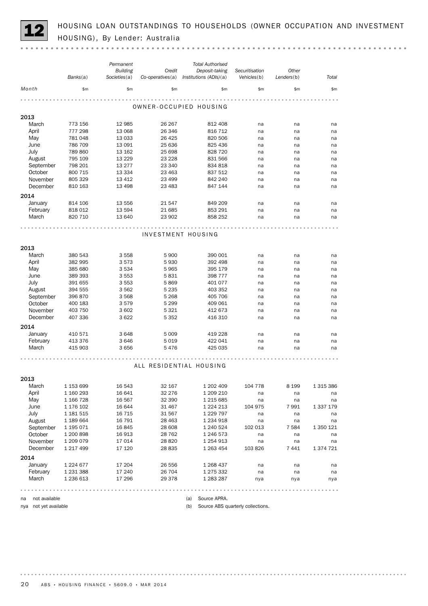HOUSING LOAN OUTSTANDINGS TO HOUSEHOLDS (OWNER OCCUPATION AND INVESTMENT<br>HOUSING), By Lender: Australia

|                       |                        | Permanent        |                  | <b>Total Authorised</b> |                                   |            |               |
|-----------------------|------------------------|------------------|------------------|-------------------------|-----------------------------------|------------|---------------|
|                       |                        | <b>Building</b>  | Credit           | Deposit-taking          | Securitisation                    | Other      |               |
|                       | Banks(a)               | Societies(a)     | Co-operatives(a) | Institutions (ADIs)(a)  | Vehicles(b)                       | Lenders(b) | Total         |
| Month                 | \$m\$                  | \$m\$            | \$m              | \$m\$                   | \$m\$                             | \$m\$      | \$m           |
|                       |                        |                  |                  | OWNER-OCCUPIED HOUSING  |                                   |            |               |
|                       |                        |                  |                  |                         |                                   |            |               |
| 2013<br>March         | 773 156                | 12 985           | 26 267           | 812 408                 | na                                | na         | na            |
| April                 | 777 298                | 13 068           | 26 346           | 816 712                 | na                                | na         | na            |
| May                   | 781 048                | 13 0 33          | 26 4 25          | 820 506                 | na                                | na         | na            |
| June                  | 786 709                | 13 091           | 25 636           | 825 436                 | na                                | na         | na            |
| July                  | 789 860                | 13 162           | 25 698           | 828 720                 | na                                | na         | na            |
| August                | 795 109                | 13 2 2 9         | 23 2 28          | 831 566                 | na                                | na         | na            |
| September             | 798 201                | 13 277           | 23 340           | 834 818                 | na                                | na         | na            |
| October               | 800 715                | 13 3 3 4         | 23 4 63          | 837 512                 | na                                | na         | na            |
| November              | 805 329                | 13 4 12          | 23 499           | 842 240                 | na                                | na         | na            |
| December              | 810 163                | 13 4 98          | 23 4 83          | 847 144                 | na                                | na         | na            |
| 2014                  |                        |                  |                  |                         |                                   |            |               |
| January               | 814 106                | 13 556           | 21 547           | 849 209                 | na                                | na         | na            |
| February              | 818 012                | 13 5 94          | 21 685           | 853 291                 | na                                | na         | na            |
| March                 | 820 710                | 13 640           | 23 902           | 858 252                 | na                                | na         | na            |
|                       |                        |                  |                  |                         |                                   |            |               |
|                       |                        |                  |                  |                         |                                   |            |               |
|                       |                        |                  |                  | INVESTMENT HOUSING      |                                   |            |               |
|                       |                        |                  |                  |                         |                                   |            |               |
| 2013                  |                        |                  |                  |                         |                                   |            |               |
| March                 | 380 543                | 3 5 5 8          | 5 9 0 0          | 390 001                 | na                                | na         | na            |
| April                 | 382 995                | 3573             | 5930             | 392 498                 | na                                | na         | na            |
| May                   | 385 680                | 3 5 3 4          | 5965             | 395 179                 | na                                | na         | na            |
| June                  | 389 393                | 3 5 5 3          | 5831             | 398 777                 | na                                | na         | na            |
| July                  | 391 655                | 3 5 5 3          | 5869             | 401 077                 | na                                | na         | na            |
| August                | 394 555                | 3 5 6 2          | 5 2 3 5          | 403 352                 | na                                | na         | na            |
| September             | 396 870                | 3568             | 5 2 6 8          | 405 706                 | na                                | na         | na            |
| October               | 400 183                | 3579             | 5 2 9 9          | 409 061                 | na                                | na         | na            |
| November              | 403 750                | 3 602            | 5 3 2 1          | 412 673                 | na                                | na         | na            |
| December              | 407 336                | 3622             | 5 3 5 2          | 416 310                 | na                                | na         | na            |
| 2014                  |                        |                  |                  |                         |                                   |            |               |
| January               | 410 571                | 3648             | 5 0 0 9          | 419 228                 | na                                | na         | na            |
| February              | 413 376                | 3646             | 5019             | 422 041                 | na                                | na         | na            |
| March                 | 415 903                | 3656             | 5476             | 425 035                 | na                                | na         | na            |
|                       |                        |                  |                  |                         |                                   |            |               |
|                       |                        |                  |                  | ALL RESIDENTIAL HOUSING |                                   |            |               |
|                       |                        |                  |                  |                         |                                   |            |               |
| 2013                  |                        |                  |                  |                         |                                   |            |               |
| March                 | 1 153 699              | 16 543           | 32 167           | 1 202 409               | 104 778                           | 8 1 9 9    | 1 315 386     |
| April                 | 1 160 293              | 16 641           | 32 276           | 1 209 210               | na                                | na         | na            |
| May                   | 1 166 728              | 16 567           | 32 390           | 1 215 685               | na                                | na         | na            |
| June                  | 1 176 102              | 16 644           | 31 467           | 1 2 2 4 2 1 3           | 104 975                           | 7991       | 1 3 3 7 1 7 9 |
| July                  | 1 181 515              | 16 7 15          | 31 567           | 1 2 2 7 9 7             | na                                | na         | na            |
| August                | 1 189 664              | 16 791           | 28 4 63          | 1 2 3 4 9 1 8           | na                                | na         | na            |
| September             | 1 195 071              | 16845            | 28 608           | 1 240 524               | 102 013                           | 7 584      | 1 350 121     |
| October               | 1 200 898              | 16 913           | 28 7 62          | 1 246 573               | na                                | na         | na            |
| November              | 1 209 079              | 17014            | 28 8 20          | 1 254 913               | na                                | na         | na            |
| December              | 1 217 499              | 17 120           | 28 835           | 1 263 454               | 103 826                           | 7441       | 1 374 721     |
|                       |                        |                  |                  |                         |                                   |            |               |
| 2014                  |                        |                  |                  |                         |                                   |            |               |
| January<br>February   | 1 2 2 4 6 7 7          | 17 204           | 26 556<br>26 704 | 1 268 437               | na                                | na         | na            |
| March                 | 1 231 388<br>1 236 613 | 17 240<br>17 296 | 29 378           | 1 275 332               | na                                | na         | na            |
|                       |                        |                  |                  | 1 283 287               | nya                               | nya        | nya           |
|                       |                        |                  |                  |                         |                                   |            |               |
| not available<br>na   |                        |                  |                  | Source APRA.<br>(a)     |                                   |            |               |
| nya not yet available |                        |                  |                  | (b)                     | Source ABS quarterly collections. |            |               |

20 ABS • HOUSING FINANCE • 5609.0 • MAR 2014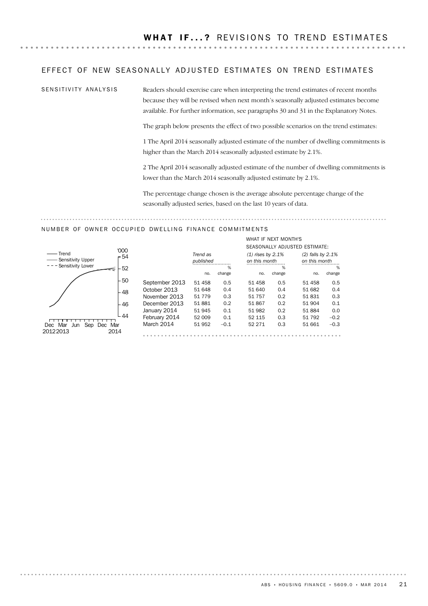### EFFECT OF NEW SEASONALLY ADJUSTED ESTIMATES ON TREND ESTIMATES

SENSITIVITY ANALYSIS

Readers should exercise care when interpreting the trend estimates of recent months because they will be revised when next month's seasonally adjusted estimates become available. For further information, see paragraphs 30 and 31 in the Explanatory Notes.

The graph below presents the effect of two possible scenarios on the trend estimates:

1 The April 2014 seasonally adjusted estimate of the number of dwelling commitments is higher than the March 2014 seasonally adjusted estimate by 2.1%.

2 The April 2014 seasonally adjusted estimate of the number of dwelling commitments is lower than the March 2014 seasonally adjusted estimate by 2.1%.

The percentage change chosen is the average absolute percentage change of the seasonally adjusted series, based on the last 10 years of data.

### NUMBER OF OWNER OCCUPIED DWELLING FINANCE COMMITMENTS



|                |           |        |                     | WHAT IF NEXT MONTH'S |                               |        |  |
|----------------|-----------|--------|---------------------|----------------------|-------------------------------|--------|--|
|                |           |        |                     |                      | SEASONALLY ADJUSTED ESTIMATE: |        |  |
|                | Trend as  |        | $(1)$ rises by 2.1% |                      | $(2)$ falls by 2.1%           |        |  |
|                | published |        | on this month       |                      | on this month                 |        |  |
|                |           | %      |                     | %                    |                               | %      |  |
|                | no.       | change | no.                 | change               | no.                           | change |  |
| September 2013 | 51 458    | 0.5    | 51 458              | 0.5                  | 51 458                        | 0.5    |  |
| October 2013   | 51 648    | 0.4    | 51 640              | 0.4                  | 51 682                        | 0.4    |  |
| November 2013  | 51 7 7 9  | 0.3    | 51 757              | 0.2                  | 51831                         | 0.3    |  |
| December 2013  | 51881     | 0.2    | 51867               | 0.2                  | 51 904                        | 0.1    |  |
| January 2014   | 51 945    | 0.1    | 51 982              | 0.2                  | 51 884                        | 0.0    |  |
| February 2014  | 52 009    | 0.1    | 52 115              | 0.3                  | 51 792                        | $-0.2$ |  |
| March 2014     | 51952     | $-0.1$ | 52 271              | 0.3                  | 51 661                        | $-0.3$ |  |
|                |           |        |                     |                      |                               |        |  |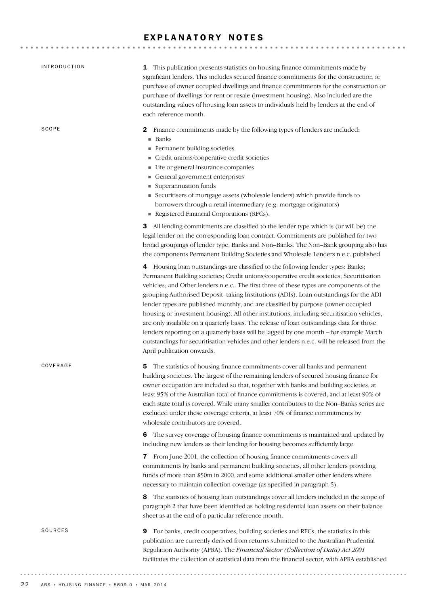### EXPLANATORY NOTES

| <b>INTRODUCTION</b> | This publication presents statistics on housing finance commitments made by<br>1<br>significant lenders. This includes secured finance commitments for the construction or<br>purchase of owner occupied dwellings and finance commitments for the construction or<br>purchase of dwellings for rent or resale (investment housing). Also included are the<br>outstanding values of housing loan assets to individuals held by lenders at the end of<br>each reference month.                                                                                                                                                                                                                                                                                                                                                                                         |
|---------------------|-----------------------------------------------------------------------------------------------------------------------------------------------------------------------------------------------------------------------------------------------------------------------------------------------------------------------------------------------------------------------------------------------------------------------------------------------------------------------------------------------------------------------------------------------------------------------------------------------------------------------------------------------------------------------------------------------------------------------------------------------------------------------------------------------------------------------------------------------------------------------|
| SCOPE               | Finance commitments made by the following types of lenders are included:<br>2<br>Banks<br>٠<br>Permanent building societies<br>Credit unions/cooperative credit societies<br>Life or general insurance companies<br>General government enterprises<br>Superannuation funds<br>Securitisers of mortgage assets (wholesale lenders) which provide funds to<br>ш<br>borrowers through a retail intermediary (e.g. mortgage originators)<br>Registered Financial Corporations (RFCs).                                                                                                                                                                                                                                                                                                                                                                                     |
|                     | 3 All lending commitments are classified to the lender type which is (or will be) the<br>legal lender on the corresponding loan contract. Commitments are published for two<br>broad groupings of lender type, Banks and Non-Banks. The Non-Bank grouping also has<br>the components Permanent Building Societies and Wholesale Lenders n.e.c. published.                                                                                                                                                                                                                                                                                                                                                                                                                                                                                                             |
|                     | 4 Housing loan outstandings are classified to the following lender types: Banks;<br>Permanent Building societies; Credit unions/cooperative credit societies; Securitisation<br>vehicles; and Other lenders n.e.c The first three of these types are components of the<br>grouping Authorised Deposit-taking Institutions (ADIs). Loan outstandings for the ADI<br>lender types are published monthly, and are classified by purpose (owner occupied<br>housing or investment housing). All other institutions, including securitisation vehicles,<br>are only available on a quarterly basis. The release of loan outstandings data for those<br>lenders reporting on a quarterly basis will be lagged by one month - for example March<br>outstandings for securitisation vehicles and other lenders n.e.c. will be released from the<br>April publication onwards. |
| COVERAGE            | The statistics of housing finance commitments cover all banks and permanent<br>5<br>building societies. The largest of the remaining lenders of secured housing finance for<br>owner occupation are included so that, together with banks and building societies, at<br>least 95% of the Australian total of finance commitments is covered, and at least 90% of<br>each state total is covered. While many smaller contributors to the Non-Banks series are<br>excluded under these coverage criteria, at least 70% of finance commitments by<br>wholesale contributors are covered.                                                                                                                                                                                                                                                                                 |
|                     | The survey coverage of housing finance commitments is maintained and updated by<br>6<br>including new lenders as their lending for housing becomes sufficiently large.                                                                                                                                                                                                                                                                                                                                                                                                                                                                                                                                                                                                                                                                                                |
|                     | 7 From June 2001, the collection of housing finance commitments covers all<br>commitments by banks and permanent building societies, all other lenders providing<br>funds of more than \$50m in 2000, and some additional smaller other lenders where<br>necessary to maintain collection coverage (as specified in paragraph 5).                                                                                                                                                                                                                                                                                                                                                                                                                                                                                                                                     |
|                     | The statistics of housing loan outstandings cover all lenders included in the scope of<br>8<br>paragraph 2 that have been identified as holding residential loan assets on their balance<br>sheet as at the end of a particular reference month.                                                                                                                                                                                                                                                                                                                                                                                                                                                                                                                                                                                                                      |
| SOURCES             | For banks, credit cooperatives, building societies and RFCs, the statistics in this<br>9<br>publication are currently derived from returns submitted to the Australian Prudential<br>Regulation Authority (APRA). The Financial Sector (Collection of Data) Act 2001<br>facilitates the collection of statistical data from the financial sector, with APRA established                                                                                                                                                                                                                                                                                                                                                                                                                                                                                               |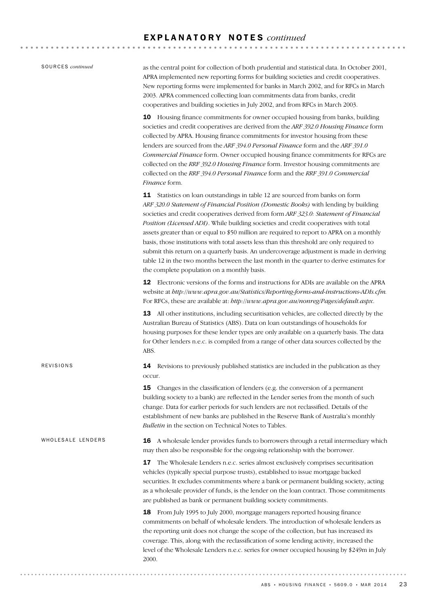......................................

| SOURCES <i>continued</i> |
|--------------------------|
|                          |

WHOLESALE LENDERS

REVISIONS

as the central point for collection of both prudential and statistical data. In October 2001, APRA implemented new reporting forms for building societies and credit cooperatives. New reporting forms were implemented for banks in March 2002, and for RFCs in March 2003. APRA commenced collecting loan commitments data from banks, credit cooperatives and building societies in July 2002, and from RFCs in March 2003.

10 Housing finance commitments for owner occupied housing from banks, building societies and credit cooperatives are derived from the *ARF 392.0 Housing Finance* form collected by APRA. Housing finance commitments for investor housing from these lenders are sourced from the *ARF 394.0 Personal Finance* form and the *ARF 391.0 Commercial Finance* form. Owner occupied housing finance commitments for RFCs are collected on the *RRF 392.0 Housing Finance* form. Investor housing commitments are collected on the *RRF 394.0 Personal Finance* form and the *RRF 391.0 Commercial Finance* form.

11 Statistics on loan outstandings in table 12 are sourced from banks on form *ARF 320.0 Statement of Financial Position (Domestic Books)* with lending by building societies and credit cooperatives derived from form *ARF 323.0: Statement of Financial Position (Licensed ADI)*. While building societies and credit cooperatives with total assets greater than or equal to \$50 million are required to report to APRA on a monthly basis, those institutions with total assets less than this threshold are only required to submit this return on a quarterly basis. An undercoverage adjustment is made in deriving table 12 in the two months between the last month in the quarter to derive estimates for the complete population on a monthly basis.

12 Electronic versions of the forms and instructions for ADIs are available on the APRA website at *http://www.apra.gov.au/Statistics/Reporting-forms-and-instructions-ADIs.cfm.* For RFCs, these are available at: *http://www.apra.gov.au/nonreg/Pages/default.aspx*.

13 All other institutions, including securitisation vehicles, are collected directly by the Australian Bureau of Statistics (ABS). Data on loan outstandings of households for housing purposes for these lender types are only available on a quarterly basis. The data for Other lenders n.e.c. is compiled from a range of other data sources collected by the ABS.

14 Revisions to previously published statistics are included in the publication as they occur.

**15** Changes in the classification of lenders (e.g. the conversion of a permanent building society to a bank) are reflected in the Lender series from the month of such change. Data for earlier periods for such lenders are not reclassified. Details of the establishment of new banks are published in the Reserve Bank of Australia's monthly *Bulletin* in the section on Technical Notes to Tables.

16 A wholesale lender provides funds to borrowers through a retail intermediary which may then also be responsible for the ongoing relationship with the borrower.

> 17 The Wholesale Lenders n.e.c. series almost exclusively comprises securitisation vehicles (typically special purpose trusts), established to issue mortgage backed securities. It excludes commitments where a bank or permanent building society, acting as a wholesale provider of funds, is the lender on the loan contract. Those commitments are published as bank or permanent building society commitments.

> 18 From July 1995 to July 2000, mortgage managers reported housing finance commitments on behalf of wholesale lenders. The introduction of wholesale lenders as the reporting unit does not change the scope of the collection, but has increased its coverage. This, along with the reclassification of some lending activity, increased the level of the Wholesale Lenders n.e.c. series for owner occupied housing by \$249m in July 2000.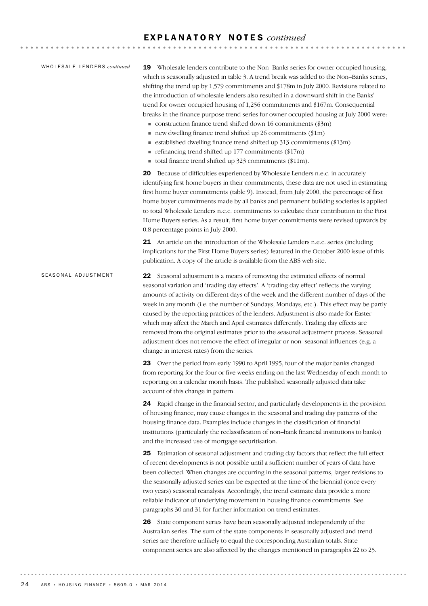### E X P L A N A T O R Y N O T E S *continued*

### WHOLESALE LENDERS *continued*

19 Wholesale lenders contribute to the Non–Banks series for owner occupied housing, which is seasonally adjusted in table 3. A trend break was added to the Non–Banks series, shifting the trend up by 1,579 commitments and \$178m in July 2000. Revisions related to the introduction of wholesale lenders also resulted in a downward shift in the Banks' trend for owner occupied housing of 1,256 commitments and \$167m. Consequential breaks in the finance purpose trend series for owner occupied housing at July 2000 were:

- $\blacksquare$  construction finance trend shifted down 16 commitments (\$3m)
- $\blacksquare$  new dwelling finance trend shifted up 26 commitments (\$1m)
- ! established dwelling finance trend shifted up 313 commitments (\$13m)  $\blacksquare$  refinancing trend shifted up 177 commitments (\$17m)
- ! total finance trend shifted up 323 commitments (\$11m).
- 

20 Because of difficulties experienced by Wholesale Lenders n.e.c. in accurately identifying first home buyers in their commitments, these data are not used in estimating first home buyer commitments (table 9). Instead, from July 2000, the percentage of first home buyer commitments made by all banks and permanent building societies is applied to total Wholesale Lenders n.e.c. commitments to calculate their contribution to the First Home Buyers series. As a result, first home buyer commitments were revised upwards by 0.8 percentage points in July 2000.

21 An article on the introduction of the Wholesale Lenders n.e.c. series (including implications for the First Home Buyers series) featured in the October 2000 issue of this publication. A copy of the article is available from the ABS web site.

### 22 Seasonal adjustment is a means of removing the estimated effects of normal seasonal variation and 'trading day effects'. A 'trading day effect' reflects the varying amounts of activity on different days of the week and the different number of days of the week in any month (i.e. the number of Sundays, Mondays, etc.). This effect may be partly caused by the reporting practices of the lenders. Adjustment is also made for Easter which may affect the March and April estimates differently. Trading day effects are removed from the original estimates prior to the seasonal adjustment process. Seasonal adjustment does not remove the effect of irregular or non–seasonal influences (e.g. a change in interest rates) from the series. SEASONAL ADJUSTMENT

23 Over the period from early 1990 to April 1995, four of the major banks changed from reporting for the four or five weeks ending on the last Wednesday of each month to reporting on a calendar month basis. The published seasonally adjusted data take account of this change in pattern.

24 Rapid change in the financial sector, and particularly developments in the provision of housing finance, may cause changes in the seasonal and trading day patterns of the housing finance data. Examples include changes in the classification of financial institutions (particularly the reclassification of non–bank financial institutions to banks) and the increased use of mortgage securitisation.

25 Estimation of seasonal adjustment and trading day factors that reflect the full effect of recent developments is not possible until a sufficient number of years of data have been collected. When changes are occurring in the seasonal patterns, larger revisions to the seasonally adjusted series can be expected at the time of the biennial (once every two years) seasonal reanalysis. Accordingly, the trend estimate data provide a more reliable indicator of underlying movement in housing finance commitments. See paragraphs 30 and 31 for further information on trend estimates.

26 State component series have been seasonally adjusted independently of the Australian series. The sum of the state components in seasonally adjusted and trend series are therefore unlikely to equal the corresponding Australian totals. State component series are also affected by the changes mentioned in paragraphs 22 to 25.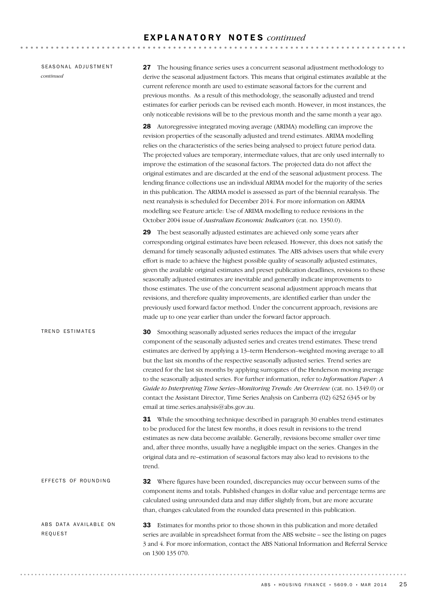### E X P L A N A T O R Y N O T E S *continued*

SEASONAL ADJUSTMENT *continued*

27 The housing finance series uses a concurrent seasonal adjustment methodology to derive the seasonal adjustment factors. This means that original estimates available at the current reference month are used to estimate seasonal factors for the current and previous months. As a result of this methodology, the seasonally adjusted and trend estimates for earlier periods can be revised each month. However, in most instances, the only noticeable revisions will be to the previous month and the same month a year ago.

28 Autoregressive integrated moving average (ARIMA) modelling can improve the revision properties of the seasonally adjusted and trend estimates. ARIMA modelling relies on the characteristics of the series being analysed to project future period data. The projected values are temporary, intermediate values, that are only used internally to improve the estimation of the seasonal factors. The projected data do not affect the original estimates and are discarded at the end of the seasonal adjustment process. The lending finance collections use an individual ARIMA model for the majority of the series in this publication. The ARIMA model is assessed as part of the biennial reanalysis. The next reanalysis is scheduled for December 2014. For more information on ARIMA modelling see Feature article: Use of ARIMA modelling to reduce revisions in the October 2004 issue of *Australian Economic Indicators* (cat. no. 1350.0).

29 The best seasonally adjusted estimates are achieved only some years after corresponding original estimates have been released. However, this does not satisfy the demand for timely seasonally adjusted estimates. The ABS advises users that while every effort is made to achieve the highest possible quality of seasonally adjusted estimates, given the available original estimates and preset publication deadlines, revisions to these seasonally adjusted estimates are inevitable and generally indicate improvements to those estimates. The use of the concurrent seasonal adjustment approach means that revisions, and therefore quality improvements, are identified earlier than under the previously used forward factor method. Under the concurrent approach, revisions are made up to one year earlier than under the forward factor approach.

30 Smoothing seasonally adjusted series reduces the impact of the irregular component of the seasonally adjusted series and creates trend estimates. These trend estimates are derived by applying a 13–term Henderson–weighted moving average to all but the last six months of the respective seasonally adjusted series. Trend series are created for the last six months by applying surrogates of the Henderson moving average to the seasonally adjusted series. For further information, refer to *Information Paper: A Guide to Interpreting Time Series–Monitoring Trends: An Overview* (cat. no. 1349.0) or contact the Assistant Director, Time Series Analysis on Canberra (02) 6252 6345 or by email at time.series.analysis@abs.gov.au. TREND ESTIMATES

> **31** While the smoothing technique described in paragraph 30 enables trend estimates to be produced for the latest few months, it does result in revisions to the trend estimates as new data become available. Generally, revisions become smaller over time and, after three months, usually have a negligible impact on the series. Changes in the original data and re–estimation of seasonal factors may also lead to revisions to the trend.

32 Where figures have been rounded, discrepancies may occur between sums of the component items and totals. Published changes in dollar value and percentage terms are calculated using unrounded data and may differ slightly from, but are more accurate than, changes calculated from the rounded data presented in this publication. EFFECTS OF ROUNDING

33 Estimates for months prior to those shown in this publication and more detailed series are available in spreadsheet format from the ABS website – see the listing on pages 3 and 4. For more information, contact the ABS National Information and Referral Service on 1300 135 070. ABS DATA AVAILABLE ON REQUEST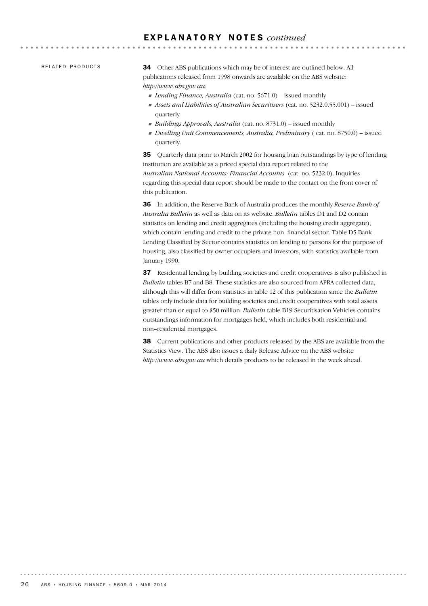### E X P L A N A T O R Y N O T E S *continued*

RELATED PRODUCTS

34 Other ABS publications which may be of interest are outlined below. All publications released from 1998 onwards are available on the ABS website: *http://www.abs.gov.au*:

! *Lending Finance, Australia* (cat. no. 5671.0) – issued monthly

- ! *Assets and Liabilities of Australian Securitisers* (cat. no. 5232.0.55.001) issued quarterly
- ! *Buildings Approvals, Australia* (cat. no. 8731.0) issued monthly
- ! *Dwelling Unit Commencements, Australia, Preliminary* ( cat. no. 8750.0) issued quarterly.

35 Quarterly data prior to March 2002 for housing loan outstandings by type of lending institution are available as a priced special data report related to the *Australian National Accounts: Financial Accounts* (cat. no. 5232.0). Inquiries regarding this special data report should be made to the contact on the front cover of this publication.

36 In addition, the Reserve Bank of Australia produces the monthly *Reserve Bank of Australia Bulletin* as well as data on its website. *Bulletin* tables D1 and D2 contain statistics on lending and credit aggregates (including the housing credit aggregate), which contain lending and credit to the private non–financial sector. Table D5 Bank Lending Classified by Sector contains statistics on lending to persons for the purpose of housing, also classified by owner occupiers and investors, with statistics available from January 1990.

37 Residential lending by building societies and credit cooperatives is also published in *Bulletin* tables B7 and B8. These statistics are also sourced from APRA collected data, although this will differ from statistics in table 12 of this publication since the *Bulletin* tables only include data for building societies and credit cooperatives with total assets greater than or equal to \$50 million. *Bulletin* table B19 Securitisation Vehicles contains outstandings information for mortgages held, which includes both residential and non–residential mortgages.

38 Current publications and other products released by the ABS are available from the Statistics View. The ABS also issues a daily Release Advice on the ABS website *http://www.abs.gov.au* which details products to be released in the week ahead.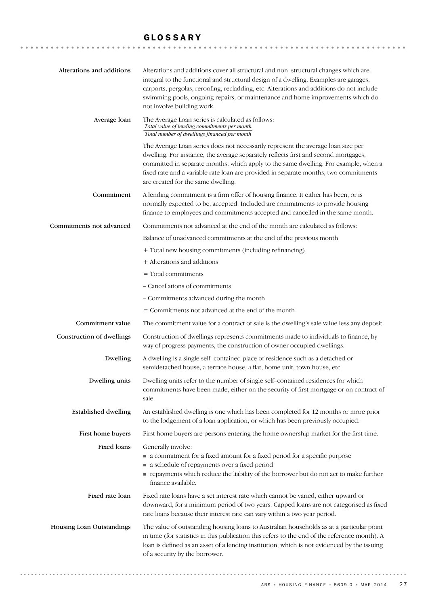### GLOSSARY

| Alterations and additions   | Alterations and additions cover all structural and non-structural changes which are<br>integral to the functional and structural design of a dwelling. Examples are garages,<br>carports, pergolas, reroofing, recladding, etc. Alterations and additions do not include<br>swimming pools, ongoing repairs, or maintenance and home improvements which do<br>not involve building work.     |
|-----------------------------|----------------------------------------------------------------------------------------------------------------------------------------------------------------------------------------------------------------------------------------------------------------------------------------------------------------------------------------------------------------------------------------------|
| Average loan                | The Average Loan series is calculated as follows:<br>Total value of lending commitments per month<br>Total number of dwellings financed per month                                                                                                                                                                                                                                            |
|                             | The Average Loan series does not necessarily represent the average loan size per<br>dwelling. For instance, the average separately reflects first and second mortgages,<br>committed in separate months, which apply to the same dwelling. For example, when a<br>fixed rate and a variable rate loan are provided in separate months, two commitments<br>are created for the same dwelling. |
| Commitment                  | A lending commitment is a firm offer of housing finance. It either has been, or is<br>normally expected to be, accepted. Included are commitments to provide housing<br>finance to employees and commitments accepted and cancelled in the same month.                                                                                                                                       |
| Commitments not advanced    | Commitments not advanced at the end of the month are calculated as follows:                                                                                                                                                                                                                                                                                                                  |
|                             | Balance of unadvanced commitments at the end of the previous month                                                                                                                                                                                                                                                                                                                           |
|                             | + Total new housing commitments (including refinancing)                                                                                                                                                                                                                                                                                                                                      |
|                             | + Alterations and additions                                                                                                                                                                                                                                                                                                                                                                  |
|                             | $=$ Total commitments                                                                                                                                                                                                                                                                                                                                                                        |
|                             | - Cancellations of commitments                                                                                                                                                                                                                                                                                                                                                               |
|                             | - Commitments advanced during the month                                                                                                                                                                                                                                                                                                                                                      |
|                             | = Commitments not advanced at the end of the month                                                                                                                                                                                                                                                                                                                                           |
| Commitment value            | The commitment value for a contract of sale is the dwelling's sale value less any deposit.                                                                                                                                                                                                                                                                                                   |
| Construction of dwellings   | Construction of dwellings represents commitments made to individuals to finance, by<br>way of progress payments, the construction of owner occupied dwellings.                                                                                                                                                                                                                               |
| Dwelling                    | A dwelling is a single self-contained place of residence such as a detached or<br>semidetached house, a terrace house, a flat, home unit, town house, etc.                                                                                                                                                                                                                                   |
| Dwelling units              | Dwelling units refer to the number of single self-contained residences for which<br>commitments have been made, either on the security of first mortgage or on contract of<br>sale.                                                                                                                                                                                                          |
| <b>Established dwelling</b> | An established dwelling is one which has been completed for 12 months or more prior<br>to the lodgement of a loan application, or which has been previously occupied.                                                                                                                                                                                                                        |
| First home buyers           | First home buyers are persons entering the home ownership market for the first time.                                                                                                                                                                                                                                                                                                         |
| <b>Fixed loans</b>          | Generally involve:<br>• a commitment for a fixed amount for a fixed period for a specific purpose<br>a schedule of repayments over a fixed period<br>repayments which reduce the liability of the borrower but do not act to make further<br>finance available.                                                                                                                              |
| Fixed rate loan             | Fixed rate loans have a set interest rate which cannot be varied, either upward or<br>downward, for a minimum period of two years. Capped loans are not categorised as fixed<br>rate loans because their interest rate can vary within a two year period.                                                                                                                                    |
| Housing Loan Outstandings   | The value of outstanding housing loans to Australian households as at a particular point<br>in time (for statistics in this publication this refers to the end of the reference month). A<br>loan is defined as an asset of a lending institution, which is not evidenced by the issuing<br>of a security by the borrower.                                                                   |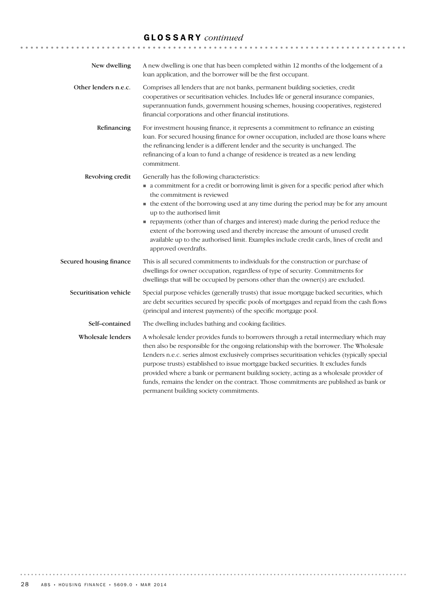# GLOSSARY *continued*

| New dwelling            | A new dwelling is one that has been completed within 12 months of the lodgement of a<br>loan application, and the borrower will be the first occupant.                                                                                                                                                                                                                                                                                                                                                                                                                                                |
|-------------------------|-------------------------------------------------------------------------------------------------------------------------------------------------------------------------------------------------------------------------------------------------------------------------------------------------------------------------------------------------------------------------------------------------------------------------------------------------------------------------------------------------------------------------------------------------------------------------------------------------------|
| Other lenders n.e.c.    | Comprises all lenders that are not banks, permanent building societies, credit<br>cooperatives or securitisation vehicles. Includes life or general insurance companies,<br>superannuation funds, government housing schemes, housing cooperatives, registered<br>financial corporations and other financial institutions.                                                                                                                                                                                                                                                                            |
| Refinancing             | For investment housing finance, it represents a commitment to refinance an existing<br>loan. For secured housing finance for owner occupation, included are those loans where<br>the refinancing lender is a different lender and the security is unchanged. The<br>refinancing of a loan to fund a change of residence is treated as a new lending<br>commitment.                                                                                                                                                                                                                                    |
| Revolving credit        | Generally has the following characteristics:<br>• a commitment for a credit or borrowing limit is given for a specific period after which<br>the commitment is reviewed<br>• the extent of the borrowing used at any time during the period may be for any amount<br>up to the authorised limit<br>repayments (other than of charges and interest) made during the period reduce the<br>extent of the borrowing used and thereby increase the amount of unused credit<br>available up to the authorised limit. Examples include credit cards, lines of credit and<br>approved overdrafts.             |
| Secured housing finance | This is all secured commitments to individuals for the construction or purchase of<br>dwellings for owner occupation, regardless of type of security. Commitments for<br>dwellings that will be occupied by persons other than the owner(s) are excluded.                                                                                                                                                                                                                                                                                                                                             |
| Securitisation vehicle  | Special purpose vehicles (generally trusts) that issue mortgage backed securities, which<br>are debt securities secured by specific pools of mortgages and repaid from the cash flows<br>(principal and interest payments) of the specific mortgage pool.                                                                                                                                                                                                                                                                                                                                             |
| Self-contained          | The dwelling includes bathing and cooking facilities.                                                                                                                                                                                                                                                                                                                                                                                                                                                                                                                                                 |
| Wholesale lenders       | A wholesale lender provides funds to borrowers through a retail intermediary which may<br>then also be responsible for the ongoing relationship with the borrower. The Wholesale<br>Lenders n.e.c. series almost exclusively comprises securitisation vehicles (typically special<br>purpose trusts) established to issue mortgage backed securities. It excludes funds<br>provided where a bank or permanent building society, acting as a wholesale provider of<br>funds, remains the lender on the contract. Those commitments are published as bank or<br>permanent building society commitments. |